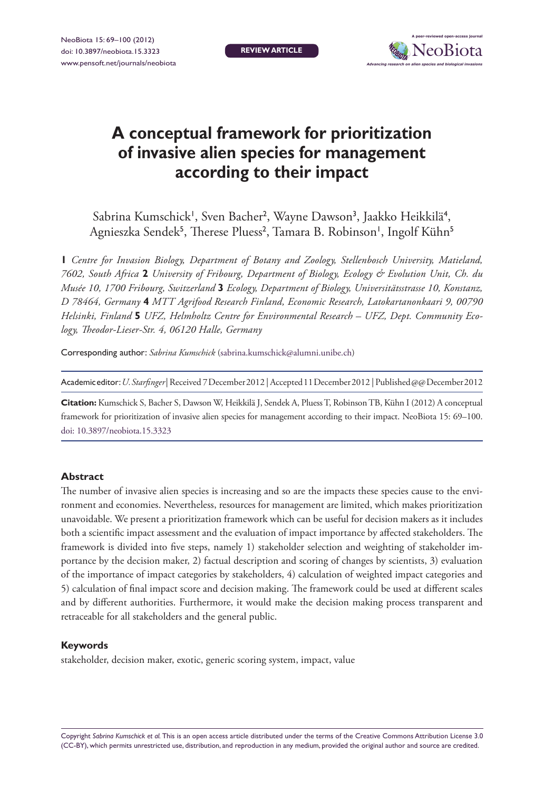

# **A conceptual framework for prioritization of invasive alien species for management according to their impact**

Sabrina Kumschick<sup>1</sup>, Sven Bacher<sup>2</sup>, Wayne Dawson<sup>3</sup>, Jaakko Heikkilä<sup>4</sup>, Agnieszka Sendek<sup>5</sup>, Therese Pluess<sup>2</sup>, Tamara B. Robinson', Ingolf Kühn<sup>5</sup>

**1** *Centre for Invasion Biology, Department of Botany and Zoology, Stellenbosch University, Matieland, 7602, South Africa* **2** *University of Fribourg, Department of Biology, Ecology & Evolution Unit, Ch. du Musée 10, 1700 Fribourg, Switzerland* **3** *Ecology, Department of Biology, Universitätsstrasse 10, Konstanz, D 78464, Germany* **4** *MTT Agrifood Research Finland, Economic Research, Latokartanonkaari 9, 00790 Helsinki, Finland* **5** *UFZ, Helmholtz Centre for Environmental Research – UFZ, Dept. Community Ecology, Theodor-Lieser-Str. 4, 06120 Halle, Germany*

Corresponding author: *Sabrina Kumschick* (sabrina.kumschick@alumni.unibe.ch)

Academic editor:*U. Starfinger* | Received 7 December 2012 | Accepted 11 December 2012 | Published @@ December 2012

**Citation:** Kumschick S, Bacher S, Dawson W, Heikkilä J, Sendek A, Pluess T, Robinson TB, Kühn I (2012) A conceptual framework for prioritization of invasive alien species for management according to their impact. NeoBiota 15: 69–100. doi: 10.3897/neobiota.15.3323

#### **Abstract**

The number of invasive alien species is increasing and so are the impacts these species cause to the environment and economies. Nevertheless, resources for management are limited, which makes prioritization unavoidable. We present a prioritization framework which can be useful for decision makers as it includes both a scientific impact assessment and the evaluation of impact importance by affected stakeholders. The framework is divided into five steps, namely 1) stakeholder selection and weighting of stakeholder importance by the decision maker, 2) factual description and scoring of changes by scientists, 3) evaluation of the importance of impact categories by stakeholders, 4) calculation of weighted impact categories and 5) calculation of final impact score and decision making. The framework could be used at different scales and by different authorities. Furthermore, it would make the decision making process transparent and retraceable for all stakeholders and the general public.

#### **Keywords**

stakeholder, decision maker, exotic, generic scoring system, impact, value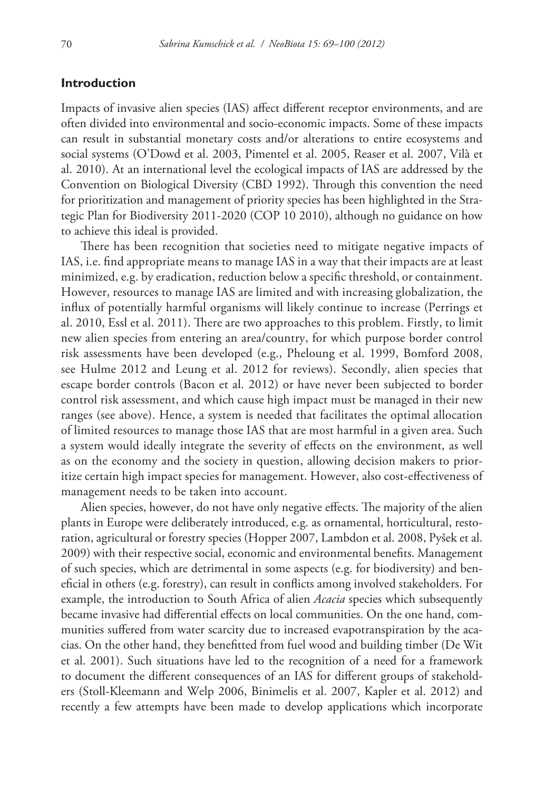#### **Introduction**

Impacts of invasive alien species (IAS) affect different receptor environments, and are often divided into environmental and socio-economic impacts. Some of these impacts can result in substantial monetary costs and/or alterations to entire ecosystems and social systems (O'Dowd et al. 2003, Pimentel et al. 2005, Reaser et al. 2007, Vilà et al. 2010). At an international level the ecological impacts of IAS are addressed by the Convention on Biological Diversity (CBD 1992). Through this convention the need for prioritization and management of priority species has been highlighted in the Strategic Plan for Biodiversity 2011-2020 (COP 10 2010), although no guidance on how to achieve this ideal is provided.

There has been recognition that societies need to mitigate negative impacts of IAS, i.e. find appropriate means to manage IAS in a way that their impacts are at least minimized, e.g. by eradication, reduction below a specific threshold, or containment. However, resources to manage IAS are limited and with increasing globalization, the influx of potentially harmful organisms will likely continue to increase (Perrings et al. 2010, Essl et al. 2011). There are two approaches to this problem. Firstly, to limit new alien species from entering an area/country, for which purpose border control risk assessments have been developed (e.g., Pheloung et al. 1999, Bomford 2008, see Hulme 2012 and Leung et al. 2012 for reviews). Secondly, alien species that escape border controls (Bacon et al. 2012) or have never been subjected to border control risk assessment, and which cause high impact must be managed in their new ranges (see above). Hence, a system is needed that facilitates the optimal allocation of limited resources to manage those IAS that are most harmful in a given area. Such a system would ideally integrate the severity of effects on the environment, as well as on the economy and the society in question, allowing decision makers to prioritize certain high impact species for management. However, also cost-effectiveness of management needs to be taken into account.

Alien species, however, do not have only negative effects. The majority of the alien plants in Europe were deliberately introduced, e.g. as ornamental, horticultural, restoration, agricultural or forestry species (Hopper 2007, Lambdon et al. 2008, Pyšek et al. 2009) with their respective social, economic and environmental benefits. Management of such species, which are detrimental in some aspects (e.g. for biodiversity) and beneficial in others (e.g. forestry), can result in conflicts among involved stakeholders. For example, the introduction to South Africa of alien *Acacia* species which subsequently became invasive had differential effects on local communities. On the one hand, communities suffered from water scarcity due to increased evapotranspiration by the acacias. On the other hand, they benefitted from fuel wood and building timber (De Wit et al. 2001). Such situations have led to the recognition of a need for a framework to document the different consequences of an IAS for different groups of stakeholders (Stoll-Kleemann and Welp 2006, Binimelis et al. 2007, Kapler et al. 2012) and recently a few attempts have been made to develop applications which incorporate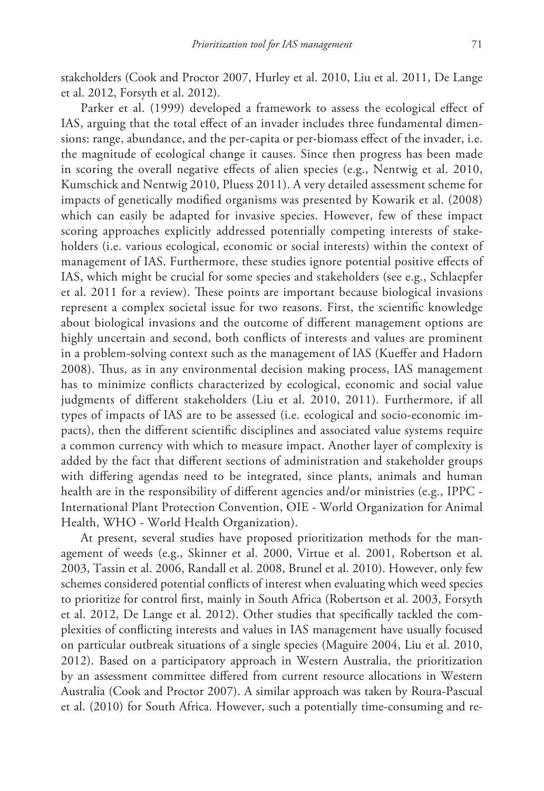stakeholders (Cook and Proctor 2007, Hurley et al. 2010, Liu et al. 2011, De Lange et al. 2012, Forsyth et al. 2012).

Parker et al. (1999) developed a framework to assess the ecological effect of IAS, arguing that the total effect of an invader includes three fundamental dimensions: range, abundance, and the per-capita or per-biomass effect of the invader, i.e. the magnitude of ecological change it causes. Since then progress has been made in scoring the overall negative effects of alien species (e.g., Nentwig et al. 2010, Kumschick and Nentwig 2010, Pluess 2011). A very detailed assessment scheme for impacts of genetically modified organisms was presented by Kowarik et al. (2008) which can easily be adapted for invasive species. However, few of these impact scoring approaches explicitly addressed potentially competing interests of stakeholders (i.e. various ecological, economic or social interests) within the context of management of IAS. Furthermore, these studies ignore potential positive effects of IAS, which might be crucial for some species and stakeholders (see e.g., Schlaepfer et al. 2011 for a review). These points are important because biological invasions represent a complex societal issue for two reasons. First, the scientific knowledge about biological invasions and the outcome of different management options are highly uncertain and second, both conflicts of interests and values are prominent in a problem-solving context such as the management of IAS (Kueffer and Hadorn 2008). Thus, as in any environmental decision making process, IAS management has to minimize conflicts characterized by ecological, economic and social value judgments of different stakeholders (Liu et al. 2010, 2011). Furthermore, if all types of impacts of IAS are to be assessed (i.e. ecological and socio-economic impacts), then the different scientific disciplines and associated value systems require a common currency with which to measure impact. Another layer of complexity is added by the fact that different sections of administration and stakeholder groups with differing agendas need to be integrated, since plants, animals and human health are in the responsibility of different agencies and/or ministries (e.g., IPPC - International Plant Protection Convention, OIE - World Organization for Animal Health, WHO - World Health Organization).

At present, several studies have proposed prioritization methods for the management of weeds (e.g., Skinner et al. 2000, Virtue et al. 2001, Robertson et al. 2003, Tassin et al. 2006, Randall et al. 2008, Brunel et al. 2010). However, only few schemes considered potential conflicts of interest when evaluating which weed species to prioritize for control first, mainly in South Africa (Robertson et al. 2003, Forsyth et al. 2012, De Lange et al. 2012). Other studies that specifically tackled the complexities of conflicting interests and values in IAS management have usually focused on particular outbreak situations of a single species (Maguire 2004, Liu et al. 2010, 2012). Based on a participatory approach in Western Australia, the prioritization by an assessment committee differed from current resource allocations in Western Australia (Cook and Proctor 2007). A similar approach was taken by Roura-Pascual et al. (2010) for South Africa. However, such a potentially time-consuming and re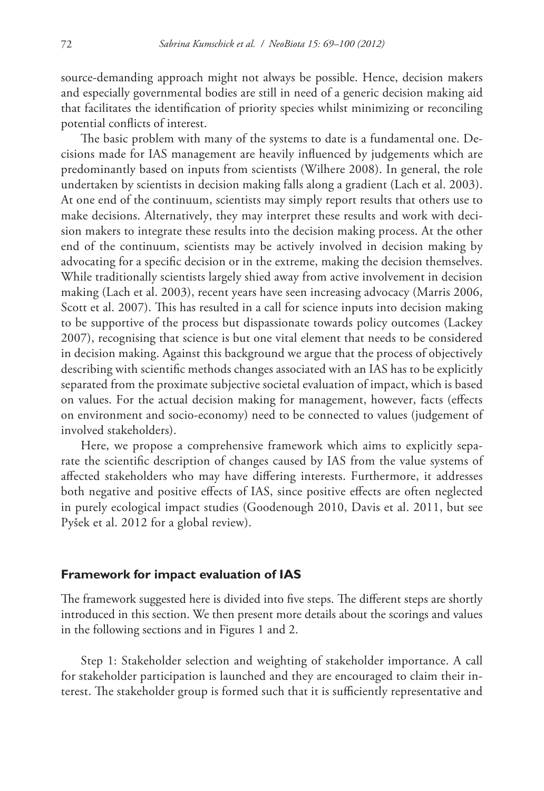source-demanding approach might not always be possible. Hence, decision makers and especially governmental bodies are still in need of a generic decision making aid that facilitates the identification of priority species whilst minimizing or reconciling potential conflicts of interest.

The basic problem with many of the systems to date is a fundamental one. Decisions made for IAS management are heavily influenced by judgements which are predominantly based on inputs from scientists (Wilhere 2008). In general, the role undertaken by scientists in decision making falls along a gradient (Lach et al. 2003). At one end of the continuum, scientists may simply report results that others use to make decisions. Alternatively, they may interpret these results and work with decision makers to integrate these results into the decision making process. At the other end of the continuum, scientists may be actively involved in decision making by advocating for a specific decision or in the extreme, making the decision themselves. While traditionally scientists largely shied away from active involvement in decision making (Lach et al. 2003), recent years have seen increasing advocacy (Marris 2006, Scott et al. 2007). This has resulted in a call for science inputs into decision making to be supportive of the process but dispassionate towards policy outcomes (Lackey 2007), recognising that science is but one vital element that needs to be considered in decision making. Against this background we argue that the process of objectively describing with scientific methods changes associated with an IAS has to be explicitly separated from the proximate subjective societal evaluation of impact, which is based on values. For the actual decision making for management, however, facts (effects on environment and socio-economy) need to be connected to values (judgement of involved stakeholders).

Here, we propose a comprehensive framework which aims to explicitly separate the scientific description of changes caused by IAS from the value systems of affected stakeholders who may have differing interests. Furthermore, it addresses both negative and positive effects of IAS, since positive effects are often neglected in purely ecological impact studies (Goodenough 2010, Davis et al. 2011, but see Pyšek et al. 2012 for a global review).

#### **Framework for impact evaluation of IAS**

The framework suggested here is divided into five steps. The different steps are shortly introduced in this section. We then present more details about the scorings and values in the following sections and in Figures 1 and 2.

Step 1: Stakeholder selection and weighting of stakeholder importance. A call for stakeholder participation is launched and they are encouraged to claim their interest. The stakeholder group is formed such that it is sufficiently representative and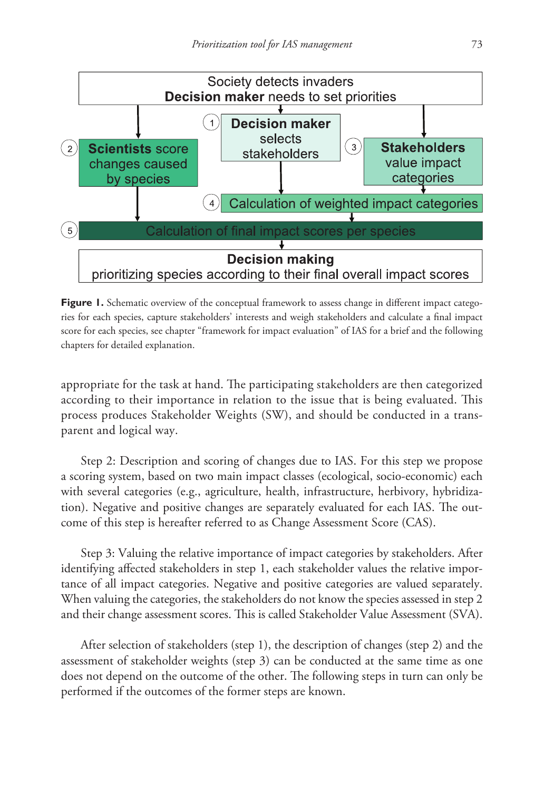

**Figure 1.** Schematic overview of the conceptual framework to assess change in different impact categories for each species, capture stakeholders' interests and weigh stakeholders and calculate a final impact score for each species, see chapter "framework for impact evaluation" of IAS for a brief and the following chapters for detailed explanation.

appropriate for the task at hand. The participating stakeholders are then categorized according to their importance in relation to the issue that is being evaluated. This process produces Stakeholder Weights (SW), and should be conducted in a transparent and logical way.

Step 2: Description and scoring of changes due to IAS. For this step we propose a scoring system, based on two main impact classes (ecological, socio-economic) each with several categories (e.g., agriculture, health, infrastructure, herbivory, hybridization). Negative and positive changes are separately evaluated for each IAS. The outcome of this step is hereafter referred to as Change Assessment Score (CAS).

Step 3: Valuing the relative importance of impact categories by stakeholders. After identifying affected stakeholders in step 1, each stakeholder values the relative importance of all impact categories. Negative and positive categories are valued separately. When valuing the categories, the stakeholders do not know the species assessed in step 2 and their change assessment scores. This is called Stakeholder Value Assessment (SVA).

After selection of stakeholders (step 1), the description of changes (step 2) and the assessment of stakeholder weights (step 3) can be conducted at the same time as one does not depend on the outcome of the other. The following steps in turn can only be performed if the outcomes of the former steps are known.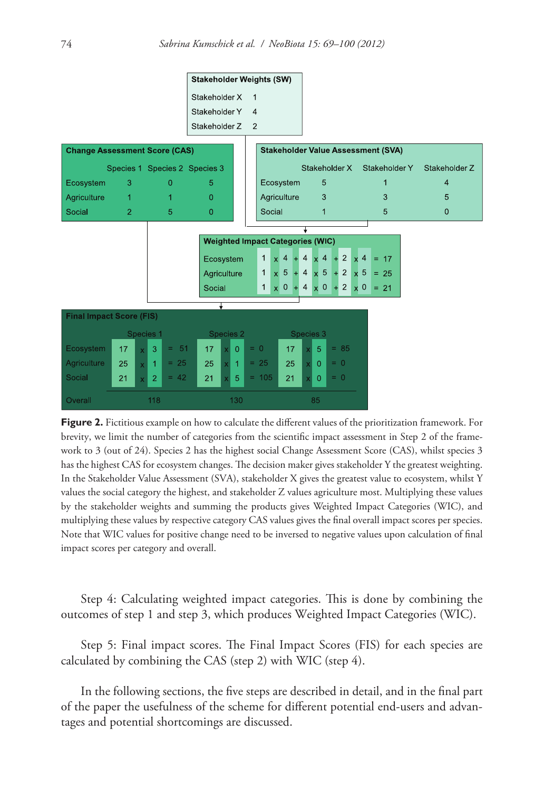

**Figure 2.** Fictitious example on how to calculate the different values of the prioritization framework. For brevity, we limit the number of categories from the scientific impact assessment in Step 2 of the framework to 3 (out of 24). Species 2 has the highest social Change Assessment Score (CAS), whilst species 3 has the highest CAS for ecosystem changes. The decision maker gives stakeholder Y the greatest weighting. In the Stakeholder Value Assessment (SVA), stakeholder X gives the greatest value to ecosystem, whilst Y values the social category the highest, and stakeholder Z values agriculture most. Multiplying these values by the stakeholder weights and summing the products gives Weighted Impact Categories (WIC), and multiplying these values by respective category CAS values gives the final overall impact scores per species. Note that WIC values for positive change need to be inversed to negative values upon calculation of final impact scores per category and overall.

Step 4: Calculating weighted impact categories. This is done by combining the outcomes of step 1 and step 3, which produces Weighted Impact Categories (WIC).

Step 5: Final impact scores. The Final Impact Scores (FIS) for each species are calculated by combining the CAS (step 2) with WIC (step 4).

In the following sections, the five steps are described in detail, and in the final part of the paper the usefulness of the scheme for different potential end-users and advantages and potential shortcomings are discussed.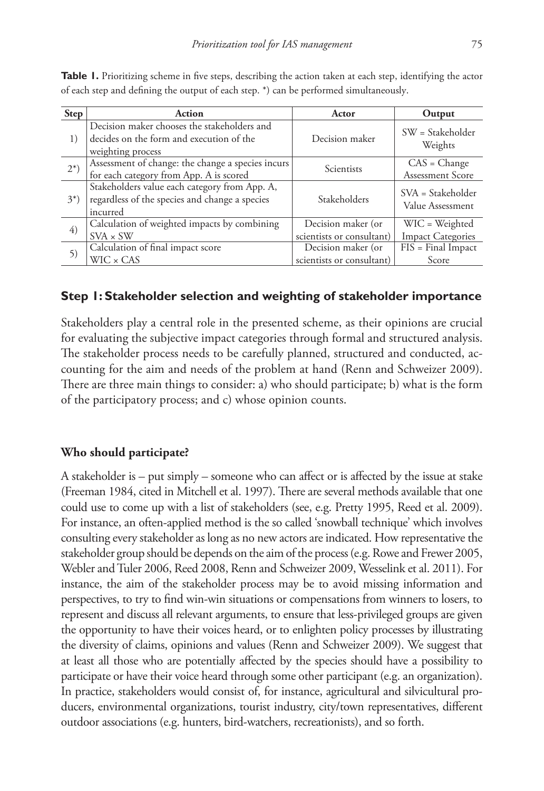| <b>Step</b> | <b>Action</b>                                                                                                | Actor                                           | Output                                     |
|-------------|--------------------------------------------------------------------------------------------------------------|-------------------------------------------------|--------------------------------------------|
| 1)          | Decision maker chooses the stakeholders and<br>decides on the form and execution of the<br>weighting process | Decision maker                                  | $SW = Stakeholder$<br>Weights              |
| $2^{*}$ )   | Assessment of change: the change a species incurs<br>for each category from App. A is scored                 | Scientists                                      | $CAS = Change$<br>Assessment Score         |
| $3^{*}$ )   | Stakeholders value each category from App. A,<br>regardless of the species and change a species<br>incurred  | Stakeholders                                    | $SVA = Stakeholder$<br>Value Assessment    |
| 4)          | Calculation of weighted impacts by combining<br>$SVA \times SW$                                              | Decision maker (or<br>scientists or consultant) | WIC = Weighted<br><b>Impact Categories</b> |
| 5)          | Calculation of final impact score<br>$WIC \times CAS$                                                        | Decision maker (or<br>scientists or consultant) | $FIS = Final Impact$<br>Score              |

**Table 1.** Prioritizing scheme in five steps, describing the action taken at each step, identifying the actor of each step and defining the output of each step. \*) can be performed simultaneously.

### **Step 1: Stakeholder selection and weighting of stakeholder importance**

Stakeholders play a central role in the presented scheme, as their opinions are crucial for evaluating the subjective impact categories through formal and structured analysis. The stakeholder process needs to be carefully planned, structured and conducted, accounting for the aim and needs of the problem at hand (Renn and Schweizer 2009). There are three main things to consider: a) who should participate; b) what is the form of the participatory process; and c) whose opinion counts.

#### **Who should participate?**

A stakeholder is – put simply – someone who can affect or is affected by the issue at stake (Freeman 1984, cited in Mitchell et al. 1997). There are several methods available that one could use to come up with a list of stakeholders (see, e.g. Pretty 1995, Reed et al. 2009). For instance, an often-applied method is the so called 'snowball technique' which involves consulting every stakeholder as long as no new actors are indicated. How representative the stakeholder group should be depends on the aim of the process (e.g. Rowe and Frewer 2005, Webler and Tuler 2006, Reed 2008, Renn and Schweizer 2009, Wesselink et al. 2011). For instance, the aim of the stakeholder process may be to avoid missing information and perspectives, to try to find win-win situations or compensations from winners to losers, to represent and discuss all relevant arguments, to ensure that less-privileged groups are given the opportunity to have their voices heard, or to enlighten policy processes by illustrating the diversity of claims, opinions and values (Renn and Schweizer 2009). We suggest that at least all those who are potentially affected by the species should have a possibility to participate or have their voice heard through some other participant (e.g. an organization). In practice, stakeholders would consist of, for instance, agricultural and silvicultural producers, environmental organizations, tourist industry, city/town representatives, different outdoor associations (e.g. hunters, bird-watchers, recreationists), and so forth.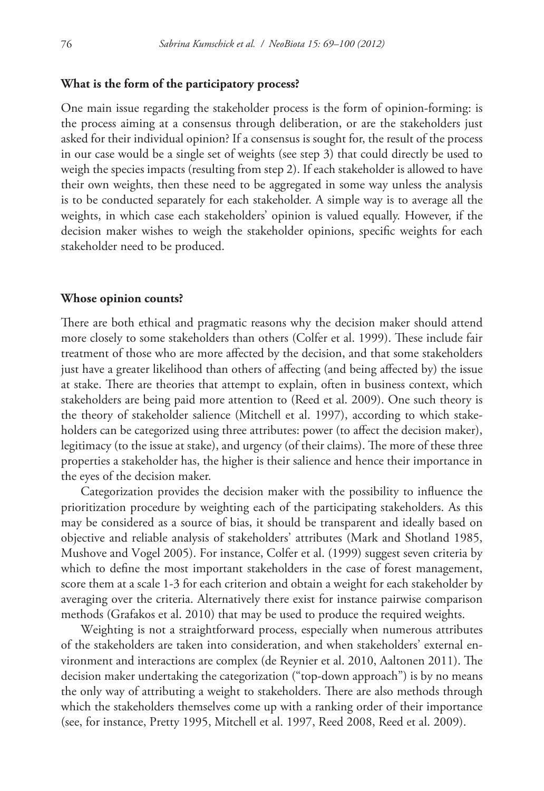#### **What is the form of the participatory process?**

One main issue regarding the stakeholder process is the form of opinion-forming: is the process aiming at a consensus through deliberation, or are the stakeholders just asked for their individual opinion? If a consensus is sought for, the result of the process in our case would be a single set of weights (see step 3) that could directly be used to weigh the species impacts (resulting from step 2). If each stakeholder is allowed to have their own weights, then these need to be aggregated in some way unless the analysis is to be conducted separately for each stakeholder. A simple way is to average all the weights, in which case each stakeholders' opinion is valued equally. However, if the decision maker wishes to weigh the stakeholder opinions, specific weights for each stakeholder need to be produced.

#### **Whose opinion counts?**

There are both ethical and pragmatic reasons why the decision maker should attend more closely to some stakeholders than others (Colfer et al. 1999). These include fair treatment of those who are more affected by the decision, and that some stakeholders just have a greater likelihood than others of affecting (and being affected by) the issue at stake. There are theories that attempt to explain, often in business context, which stakeholders are being paid more attention to (Reed et al. 2009). One such theory is the theory of stakeholder salience (Mitchell et al. 1997), according to which stakeholders can be categorized using three attributes: power (to affect the decision maker), legitimacy (to the issue at stake), and urgency (of their claims). The more of these three properties a stakeholder has, the higher is their salience and hence their importance in the eyes of the decision maker.

Categorization provides the decision maker with the possibility to influence the prioritization procedure by weighting each of the participating stakeholders. As this may be considered as a source of bias, it should be transparent and ideally based on objective and reliable analysis of stakeholders' attributes (Mark and Shotland 1985, Mushove and Vogel 2005). For instance, Colfer et al. (1999) suggest seven criteria by which to define the most important stakeholders in the case of forest management, score them at a scale 1-3 for each criterion and obtain a weight for each stakeholder by averaging over the criteria. Alternatively there exist for instance pairwise comparison methods (Grafakos et al. 2010) that may be used to produce the required weights.

Weighting is not a straightforward process, especially when numerous attributes of the stakeholders are taken into consideration, and when stakeholders' external environment and interactions are complex (de Reynier et al. 2010, Aaltonen 2011). The decision maker undertaking the categorization ("top-down approach") is by no means the only way of attributing a weight to stakeholders. There are also methods through which the stakeholders themselves come up with a ranking order of their importance (see, for instance, Pretty 1995, Mitchell et al. 1997, Reed 2008, Reed et al. 2009).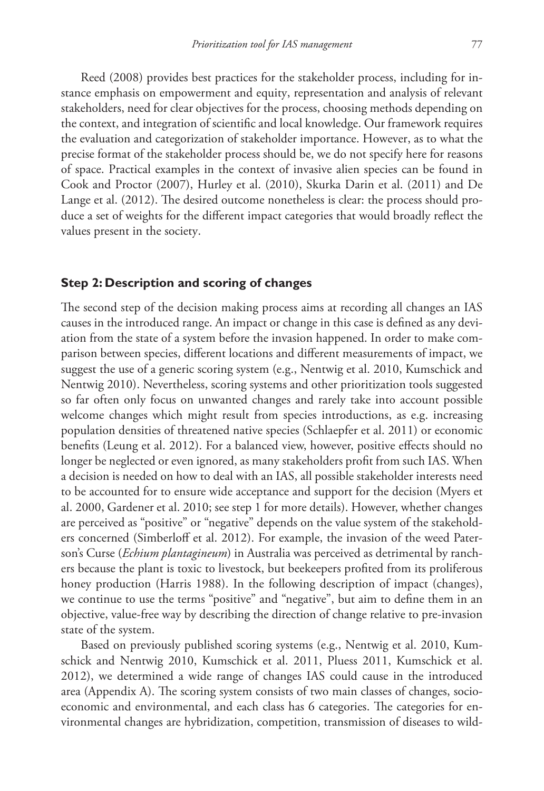Reed (2008) provides best practices for the stakeholder process, including for instance emphasis on empowerment and equity, representation and analysis of relevant stakeholders, need for clear objectives for the process, choosing methods depending on the context, and integration of scientific and local knowledge. Our framework requires the evaluation and categorization of stakeholder importance. However, as to what the precise format of the stakeholder process should be, we do not specify here for reasons of space. Practical examples in the context of invasive alien species can be found in Cook and Proctor (2007), Hurley et al. (2010), Skurka Darin et al. (2011) and De Lange et al. (2012). The desired outcome nonetheless is clear: the process should produce a set of weights for the different impact categories that would broadly reflect the values present in the society.

#### **Step 2: Description and scoring of changes**

The second step of the decision making process aims at recording all changes an IAS causes in the introduced range. An impact or change in this case is defined as any deviation from the state of a system before the invasion happened. In order to make comparison between species, different locations and different measurements of impact, we suggest the use of a generic scoring system (e.g., Nentwig et al. 2010, Kumschick and Nentwig 2010). Nevertheless, scoring systems and other prioritization tools suggested so far often only focus on unwanted changes and rarely take into account possible welcome changes which might result from species introductions, as e.g. increasing population densities of threatened native species (Schlaepfer et al. 2011) or economic benefits (Leung et al. 2012). For a balanced view, however, positive effects should no longer be neglected or even ignored, as many stakeholders profit from such IAS. When a decision is needed on how to deal with an IAS, all possible stakeholder interests need to be accounted for to ensure wide acceptance and support for the decision (Myers et al. 2000, Gardener et al. 2010; see step 1 for more details). However, whether changes are perceived as "positive" or "negative" depends on the value system of the stakeholders concerned (Simberloff et al. 2012). For example, the invasion of the weed Paterson's Curse (*Echium plantagineum*) in Australia was perceived as detrimental by ranchers because the plant is toxic to livestock, but beekeepers profited from its proliferous honey production (Harris 1988). In the following description of impact (changes), we continue to use the terms "positive" and "negative", but aim to define them in an objective, value-free way by describing the direction of change relative to pre-invasion state of the system.

Based on previously published scoring systems (e.g., Nentwig et al. 2010, Kumschick and Nentwig 2010, Kumschick et al. 2011, Pluess 2011, Kumschick et al. 2012), we determined a wide range of changes IAS could cause in the introduced area (Appendix A). The scoring system consists of two main classes of changes, socioeconomic and environmental, and each class has 6 categories. The categories for environmental changes are hybridization, competition, transmission of diseases to wild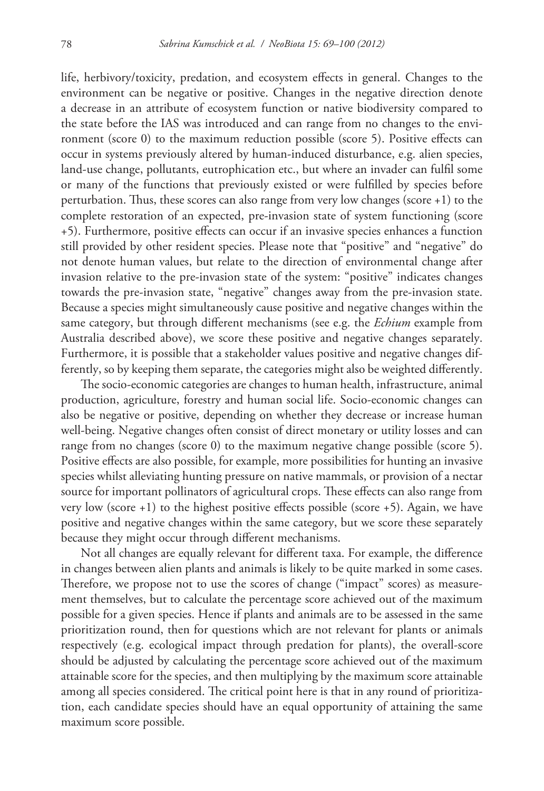life, herbivory/toxicity, predation, and ecosystem effects in general. Changes to the environment can be negative or positive. Changes in the negative direction denote a decrease in an attribute of ecosystem function or native biodiversity compared to the state before the IAS was introduced and can range from no changes to the environment (score 0) to the maximum reduction possible (score 5). Positive effects can occur in systems previously altered by human-induced disturbance, e.g. alien species, land-use change, pollutants, eutrophication etc., but where an invader can fulfil some or many of the functions that previously existed or were fulfilled by species before perturbation. Thus, these scores can also range from very low changes (score +1) to the complete restoration of an expected, pre-invasion state of system functioning (score +5). Furthermore, positive effects can occur if an invasive species enhances a function still provided by other resident species. Please note that "positive" and "negative" do not denote human values, but relate to the direction of environmental change after invasion relative to the pre-invasion state of the system: "positive" indicates changes towards the pre-invasion state, "negative" changes away from the pre-invasion state. Because a species might simultaneously cause positive and negative changes within the same category, but through different mechanisms (see e.g. the *Echium* example from Australia described above), we score these positive and negative changes separately. Furthermore, it is possible that a stakeholder values positive and negative changes differently, so by keeping them separate, the categories might also be weighted differently.

The socio-economic categories are changes to human health, infrastructure, animal production, agriculture, forestry and human social life. Socio-economic changes can also be negative or positive, depending on whether they decrease or increase human well-being. Negative changes often consist of direct monetary or utility losses and can range from no changes (score 0) to the maximum negative change possible (score 5). Positive effects are also possible, for example, more possibilities for hunting an invasive species whilst alleviating hunting pressure on native mammals, or provision of a nectar source for important pollinators of agricultural crops. These effects can also range from very low (score +1) to the highest positive effects possible (score +5). Again, we have positive and negative changes within the same category, but we score these separately because they might occur through different mechanisms.

Not all changes are equally relevant for different taxa. For example, the difference in changes between alien plants and animals is likely to be quite marked in some cases. Therefore, we propose not to use the scores of change ("impact" scores) as measurement themselves, but to calculate the percentage score achieved out of the maximum possible for a given species. Hence if plants and animals are to be assessed in the same prioritization round, then for questions which are not relevant for plants or animals respectively (e.g. ecological impact through predation for plants), the overall-score should be adjusted by calculating the percentage score achieved out of the maximum attainable score for the species, and then multiplying by the maximum score attainable among all species considered. The critical point here is that in any round of prioritization, each candidate species should have an equal opportunity of attaining the same maximum score possible.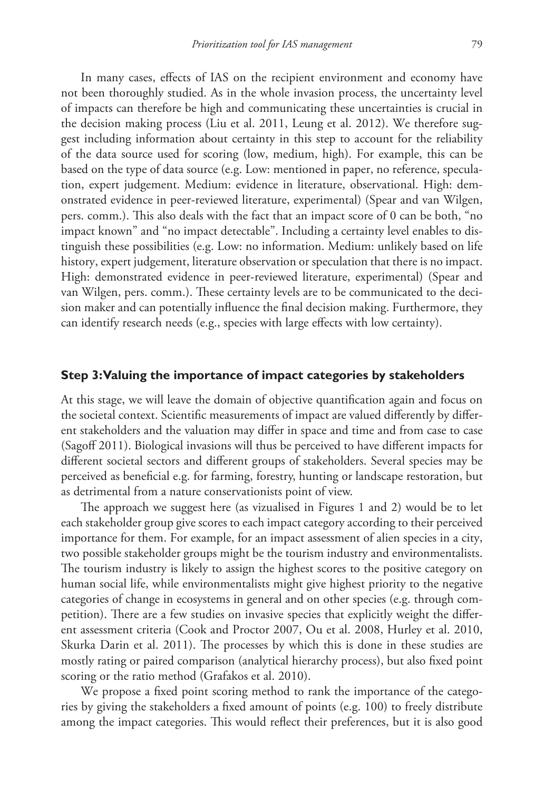In many cases, effects of IAS on the recipient environment and economy have not been thoroughly studied. As in the whole invasion process, the uncertainty level of impacts can therefore be high and communicating these uncertainties is crucial in the decision making process (Liu et al. 2011, Leung et al. 2012). We therefore suggest including information about certainty in this step to account for the reliability of the data source used for scoring (low, medium, high). For example, this can be based on the type of data source (e.g. Low: mentioned in paper, no reference, speculation, expert judgement. Medium: evidence in literature, observational. High: demonstrated evidence in peer-reviewed literature, experimental) (Spear and van Wilgen, pers. comm.). This also deals with the fact that an impact score of 0 can be both, "no impact known" and "no impact detectable". Including a certainty level enables to distinguish these possibilities (e.g. Low: no information. Medium: unlikely based on life history, expert judgement, literature observation or speculation that there is no impact. High: demonstrated evidence in peer-reviewed literature, experimental) (Spear and van Wilgen, pers. comm.). These certainty levels are to be communicated to the decision maker and can potentially influence the final decision making. Furthermore, they can identify research needs (e.g., species with large effects with low certainty).

#### **Step 3: Valuing the importance of impact categories by stakeholders**

At this stage, we will leave the domain of objective quantification again and focus on the societal context. Scientific measurements of impact are valued differently by different stakeholders and the valuation may differ in space and time and from case to case (Sagoff 2011). Biological invasions will thus be perceived to have different impacts for different societal sectors and different groups of stakeholders. Several species may be perceived as beneficial e.g. for farming, forestry, hunting or landscape restoration, but as detrimental from a nature conservationists point of view.

The approach we suggest here (as vizualised in Figures 1 and 2) would be to let each stakeholder group give scores to each impact category according to their perceived importance for them. For example, for an impact assessment of alien species in a city, two possible stakeholder groups might be the tourism industry and environmentalists. The tourism industry is likely to assign the highest scores to the positive category on human social life, while environmentalists might give highest priority to the negative categories of change in ecosystems in general and on other species (e.g. through competition). There are a few studies on invasive species that explicitly weight the different assessment criteria (Cook and Proctor 2007, Ou et al. 2008, Hurley et al. 2010, Skurka Darin et al. 2011). The processes by which this is done in these studies are mostly rating or paired comparison (analytical hierarchy process), but also fixed point scoring or the ratio method (Grafakos et al. 2010).

We propose a fixed point scoring method to rank the importance of the categories by giving the stakeholders a fixed amount of points (e.g. 100) to freely distribute among the impact categories. This would reflect their preferences, but it is also good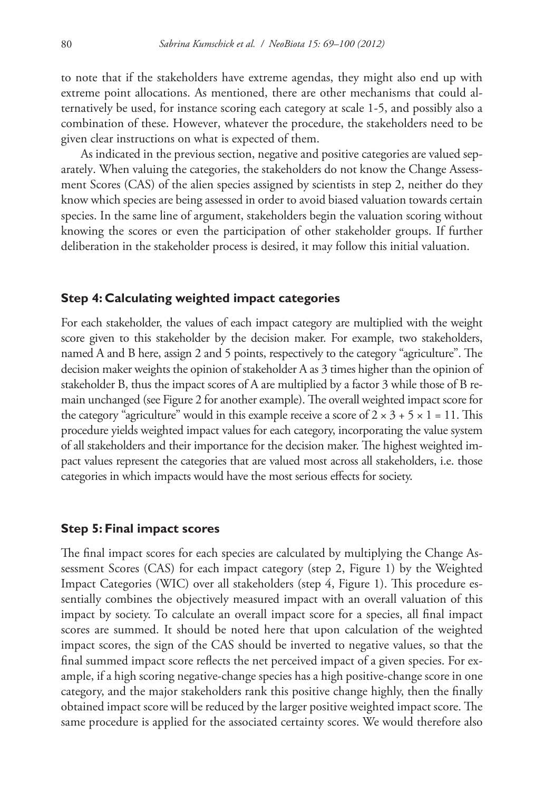to note that if the stakeholders have extreme agendas, they might also end up with extreme point allocations. As mentioned, there are other mechanisms that could alternatively be used, for instance scoring each category at scale 1-5, and possibly also a combination of these. However, whatever the procedure, the stakeholders need to be given clear instructions on what is expected of them.

As indicated in the previous section, negative and positive categories are valued separately. When valuing the categories, the stakeholders do not know the Change Assessment Scores (CAS) of the alien species assigned by scientists in step 2, neither do they know which species are being assessed in order to avoid biased valuation towards certain species. In the same line of argument, stakeholders begin the valuation scoring without knowing the scores or even the participation of other stakeholder groups. If further deliberation in the stakeholder process is desired, it may follow this initial valuation.

#### **Step 4: Calculating weighted impact categories**

For each stakeholder, the values of each impact category are multiplied with the weight score given to this stakeholder by the decision maker. For example, two stakeholders, named A and B here, assign 2 and 5 points, respectively to the category "agriculture". The decision maker weights the opinion of stakeholder A as 3 times higher than the opinion of stakeholder B, thus the impact scores of A are multiplied by a factor 3 while those of B remain unchanged (see Figure 2 for another example). The overall weighted impact score for the category "agriculture" would in this example receive a score of  $2 \times 3 + 5 \times 1 = 11$ . This procedure yields weighted impact values for each category, incorporating the value system of all stakeholders and their importance for the decision maker. The highest weighted impact values represent the categories that are valued most across all stakeholders, i.e. those categories in which impacts would have the most serious effects for society.

#### **Step 5: Final impact scores**

The final impact scores for each species are calculated by multiplying the Change Assessment Scores (CAS) for each impact category (step 2, Figure 1) by the Weighted Impact Categories (WIC) over all stakeholders (step 4, Figure 1). This procedure essentially combines the objectively measured impact with an overall valuation of this impact by society. To calculate an overall impact score for a species, all final impact scores are summed. It should be noted here that upon calculation of the weighted impact scores, the sign of the CAS should be inverted to negative values, so that the final summed impact score reflects the net perceived impact of a given species. For example, if a high scoring negative-change species has a high positive-change score in one category, and the major stakeholders rank this positive change highly, then the finally obtained impact score will be reduced by the larger positive weighted impact score. The same procedure is applied for the associated certainty scores. We would therefore also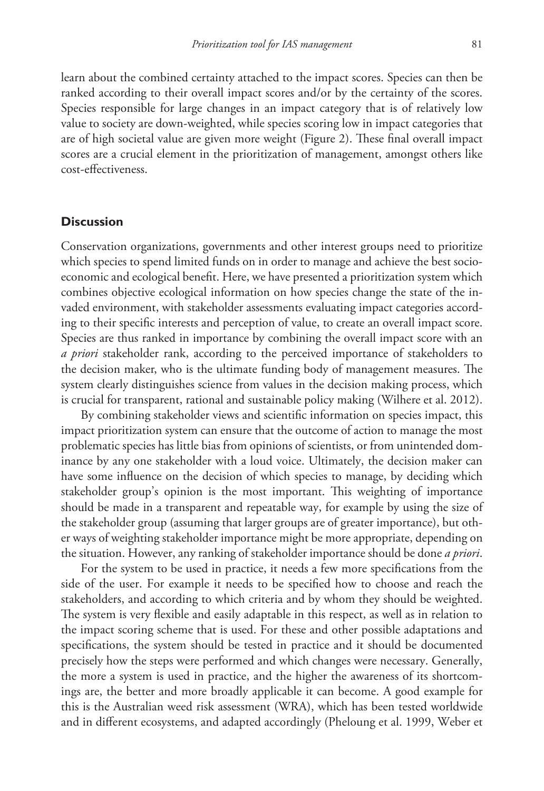learn about the combined certainty attached to the impact scores. Species can then be ranked according to their overall impact scores and/or by the certainty of the scores. Species responsible for large changes in an impact category that is of relatively low value to society are down-weighted, while species scoring low in impact categories that are of high societal value are given more weight (Figure 2). These final overall impact scores are a crucial element in the prioritization of management, amongst others like cost-effectiveness.

#### **Discussion**

Conservation organizations, governments and other interest groups need to prioritize which species to spend limited funds on in order to manage and achieve the best socioeconomic and ecological benefit. Here, we have presented a prioritization system which combines objective ecological information on how species change the state of the invaded environment, with stakeholder assessments evaluating impact categories according to their specific interests and perception of value, to create an overall impact score. Species are thus ranked in importance by combining the overall impact score with an *a priori* stakeholder rank, according to the perceived importance of stakeholders to the decision maker, who is the ultimate funding body of management measures. The system clearly distinguishes science from values in the decision making process, which is crucial for transparent, rational and sustainable policy making (Wilhere et al. 2012).

By combining stakeholder views and scientific information on species impact, this impact prioritization system can ensure that the outcome of action to manage the most problematic species has little bias from opinions of scientists, or from unintended dominance by any one stakeholder with a loud voice. Ultimately, the decision maker can have some influence on the decision of which species to manage, by deciding which stakeholder group's opinion is the most important. This weighting of importance should be made in a transparent and repeatable way, for example by using the size of the stakeholder group (assuming that larger groups are of greater importance), but other ways of weighting stakeholder importance might be more appropriate, depending on the situation. However, any ranking of stakeholder importance should be done *a priori*.

For the system to be used in practice, it needs a few more specifications from the side of the user. For example it needs to be specified how to choose and reach the stakeholders, and according to which criteria and by whom they should be weighted. The system is very flexible and easily adaptable in this respect, as well as in relation to the impact scoring scheme that is used. For these and other possible adaptations and specifications, the system should be tested in practice and it should be documented precisely how the steps were performed and which changes were necessary. Generally, the more a system is used in practice, and the higher the awareness of its shortcomings are, the better and more broadly applicable it can become. A good example for this is the Australian weed risk assessment (WRA), which has been tested worldwide and in different ecosystems, and adapted accordingly (Pheloung et al. 1999, Weber et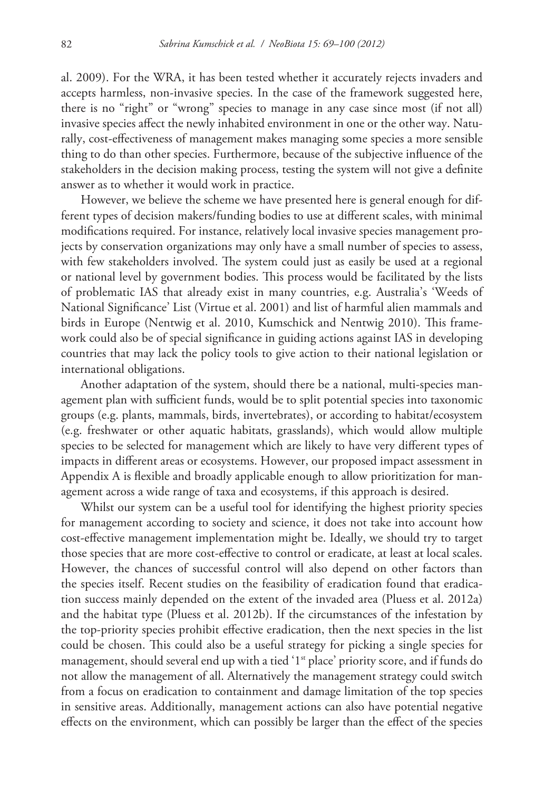al. 2009). For the WRA, it has been tested whether it accurately rejects invaders and accepts harmless, non-invasive species. In the case of the framework suggested here, there is no "right" or "wrong" species to manage in any case since most (if not all) invasive species affect the newly inhabited environment in one or the other way. Naturally, cost-effectiveness of management makes managing some species a more sensible thing to do than other species. Furthermore, because of the subjective influence of the stakeholders in the decision making process, testing the system will not give a definite answer as to whether it would work in practice.

However, we believe the scheme we have presented here is general enough for different types of decision makers/funding bodies to use at different scales, with minimal modifications required. For instance, relatively local invasive species management projects by conservation organizations may only have a small number of species to assess, with few stakeholders involved. The system could just as easily be used at a regional or national level by government bodies. This process would be facilitated by the lists of problematic IAS that already exist in many countries, e.g. Australia's 'Weeds of National Significance' List (Virtue et al. 2001) and list of harmful alien mammals and birds in Europe (Nentwig et al. 2010, Kumschick and Nentwig 2010). This framework could also be of special significance in guiding actions against IAS in developing countries that may lack the policy tools to give action to their national legislation or international obligations.

Another adaptation of the system, should there be a national, multi-species management plan with sufficient funds, would be to split potential species into taxonomic groups (e.g. plants, mammals, birds, invertebrates), or according to habitat/ecosystem (e.g. freshwater or other aquatic habitats, grasslands), which would allow multiple species to be selected for management which are likely to have very different types of impacts in different areas or ecosystems. However, our proposed impact assessment in Appendix A is flexible and broadly applicable enough to allow prioritization for management across a wide range of taxa and ecosystems, if this approach is desired.

Whilst our system can be a useful tool for identifying the highest priority species for management according to society and science, it does not take into account how cost-effective management implementation might be. Ideally, we should try to target those species that are more cost-effective to control or eradicate, at least at local scales. However, the chances of successful control will also depend on other factors than the species itself. Recent studies on the feasibility of eradication found that eradication success mainly depended on the extent of the invaded area (Pluess et al. 2012a) and the habitat type (Pluess et al. 2012b). If the circumstances of the infestation by the top-priority species prohibit effective eradication, then the next species in the list could be chosen. This could also be a useful strategy for picking a single species for management, should several end up with a tied '1<sup>st</sup> place' priority score, and if funds do not allow the management of all. Alternatively the management strategy could switch from a focus on eradication to containment and damage limitation of the top species in sensitive areas. Additionally, management actions can also have potential negative effects on the environment, which can possibly be larger than the effect of the species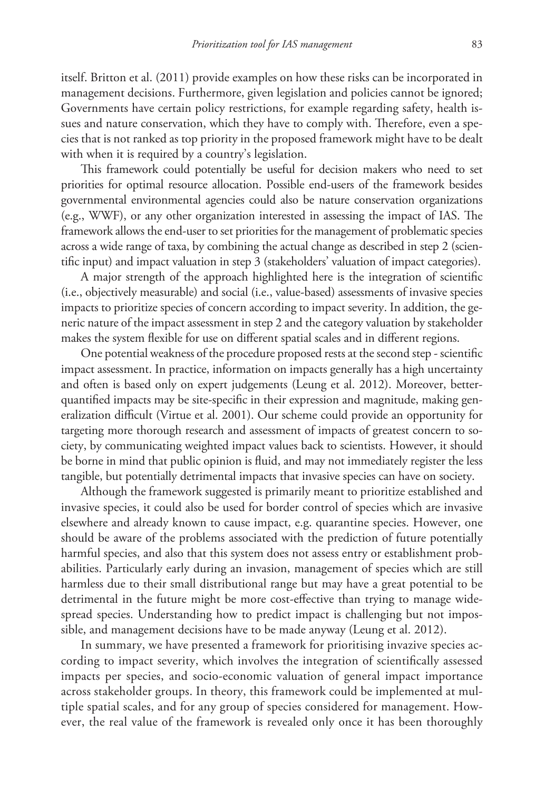itself. Britton et al. (2011) provide examples on how these risks can be incorporated in management decisions. Furthermore, given legislation and policies cannot be ignored; Governments have certain policy restrictions, for example regarding safety, health issues and nature conservation, which they have to comply with. Therefore, even a species that is not ranked as top priority in the proposed framework might have to be dealt with when it is required by a country's legislation.

This framework could potentially be useful for decision makers who need to set priorities for optimal resource allocation. Possible end-users of the framework besides governmental environmental agencies could also be nature conservation organizations (e.g., WWF), or any other organization interested in assessing the impact of IAS. The framework allows the end-user to set priorities for the management of problematic species across a wide range of taxa, by combining the actual change as described in step 2 (scientific input) and impact valuation in step 3 (stakeholders' valuation of impact categories).

A major strength of the approach highlighted here is the integration of scientific (i.e., objectively measurable) and social (i.e., value-based) assessments of invasive species impacts to prioritize species of concern according to impact severity. In addition, the generic nature of the impact assessment in step 2 and the category valuation by stakeholder makes the system flexible for use on different spatial scales and in different regions.

One potential weakness of the procedure proposed rests at the second step - scientific impact assessment. In practice, information on impacts generally has a high uncertainty and often is based only on expert judgements (Leung et al. 2012). Moreover, betterquantified impacts may be site-specific in their expression and magnitude, making generalization difficult (Virtue et al. 2001). Our scheme could provide an opportunity for targeting more thorough research and assessment of impacts of greatest concern to society, by communicating weighted impact values back to scientists. However, it should be borne in mind that public opinion is fluid, and may not immediately register the less tangible, but potentially detrimental impacts that invasive species can have on society.

Although the framework suggested is primarily meant to prioritize established and invasive species, it could also be used for border control of species which are invasive elsewhere and already known to cause impact, e.g. quarantine species. However, one should be aware of the problems associated with the prediction of future potentially harmful species, and also that this system does not assess entry or establishment probabilities. Particularly early during an invasion, management of species which are still harmless due to their small distributional range but may have a great potential to be detrimental in the future might be more cost-effective than trying to manage widespread species. Understanding how to predict impact is challenging but not impossible, and management decisions have to be made anyway (Leung et al. 2012).

In summary, we have presented a framework for prioritising invazive species according to impact severity, which involves the integration of scientifically assessed impacts per species, and socio-economic valuation of general impact importance across stakeholder groups. In theory, this framework could be implemented at multiple spatial scales, and for any group of species considered for management. However, the real value of the framework is revealed only once it has been thoroughly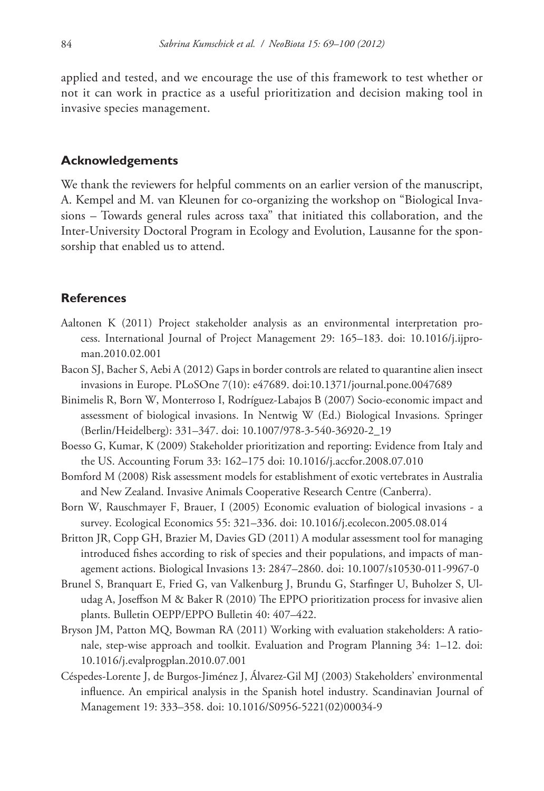applied and tested, and we encourage the use of this framework to test whether or not it can work in practice as a useful prioritization and decision making tool in invasive species management.

#### **Acknowledgements**

We thank the reviewers for helpful comments on an earlier version of the manuscript, A. Kempel and M. van Kleunen for co-organizing the workshop on "Biological Invasions – Towards general rules across taxa" that initiated this collaboration, and the Inter-University Doctoral Program in Ecology and Evolution, Lausanne for the sponsorship that enabled us to attend.

#### **References**

- Aaltonen K (2011) Project stakeholder analysis as an environmental interpretation process. International Journal of Project Management 29: 165–183. doi: 10.1016/j.ijproman.2010.02.001
- Bacon SJ, Bacher S, Aebi A (2012) Gaps in border controls are related to quarantine alien insect invasions in Europe. PLoSOne 7(10): e47689. doi:10.1371/journal.pone.0047689
- Binimelis R, Born W, Monterroso I, Rodríguez-Labajos B (2007) Socio-economic impact and assessment of biological invasions. In Nentwig W (Ed.) Biological Invasions. Springer (Berlin/Heidelberg): 331–347. doi: 10.1007/978-3-540-36920-2\_19
- Boesso G, Kumar, K (2009) Stakeholder prioritization and reporting: Evidence from Italy and the US. Accounting Forum 33: 162–175 doi: 10.1016/j.accfor.2008.07.010
- Bomford M (2008) Risk assessment models for establishment of exotic vertebrates in Australia and New Zealand. Invasive Animals Cooperative Research Centre (Canberra).
- Born W, Rauschmayer F, Brauer, I (2005) Economic evaluation of biological invasions a survey. Ecological Economics 55: 321–336. doi: 10.1016/j.ecolecon.2005.08.014
- Britton JR, Copp GH, Brazier M, Davies GD (2011) A modular assessment tool for managing introduced fishes according to risk of species and their populations, and impacts of management actions. Biological Invasions 13: 2847–2860. doi: 10.1007/s10530-011-9967-0
- Brunel S, Branquart E, Fried G, van Valkenburg J, Brundu G, Starfinger U, Buholzer S, Uludag A, Joseffson M & Baker R (2010) The EPPO prioritization process for invasive alien plants. Bulletin OEPP/EPPO Bulletin 40: 407–422.
- Bryson JM, Patton MQ, Bowman RA (2011) Working with evaluation stakeholders: A rationale, step-wise approach and toolkit. Evaluation and Program Planning 34: 1–12. doi: 10.1016/j.evalprogplan.2010.07.001
- Céspedes-Lorente J, de Burgos-Jiménez J, Álvarez-Gil MJ (2003) Stakeholders' environmental influence. An empirical analysis in the Spanish hotel industry. Scandinavian Journal of Management 19: 333–358. doi: 10.1016/S0956-5221(02)00034-9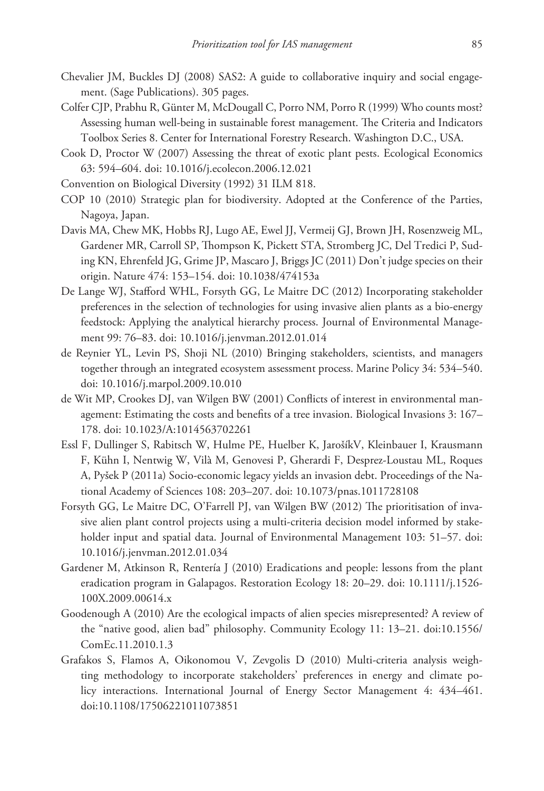- Chevalier JM, Buckles DJ (2008) SAS2: A guide to collaborative inquiry and social engagement. (Sage Publications). 305 pages.
- Colfer CJP, Prabhu R, Günter M, McDougall C, Porro NM, Porro R (1999) Who counts most? Assessing human well-being in sustainable forest management. The Criteria and Indicators Toolbox Series 8. Center for International Forestry Research. Washington D.C., USA.
- Cook D, Proctor W (2007) Assessing the threat of exotic plant pests. Ecological Economics 63: 594–604. doi: 10.1016/j.ecolecon.2006.12.021
- Convention on Biological Diversity (1992) 31 ILM 818.
- COP 10 (2010) Strategic plan for biodiversity. Adopted at the Conference of the Parties, Nagoya, Japan.
- Davis MA, Chew MK, Hobbs RJ, Lugo AE, Ewel JJ, Vermeij GJ, Brown JH, Rosenzweig ML, Gardener MR, Carroll SP, Thompson K, Pickett STA, Stromberg JC, Del Tredici P, Suding KN, Ehrenfeld JG, Grime JP, Mascaro J, Briggs JC (2011) Don't judge species on their origin. Nature 474: 153–154. doi: 10.1038/474153a
- De Lange WJ, Stafford WHL, Forsyth GG, Le Maitre DC (2012) Incorporating stakeholder preferences in the selection of technologies for using invasive alien plants as a bio-energy feedstock: Applying the analytical hierarchy process. Journal of Environmental Management 99: 76–83. doi: 10.1016/j.jenvman.2012.01.014
- de Reynier YL, Levin PS, Shoji NL (2010) Bringing stakeholders, scientists, and managers together through an integrated ecosystem assessment process. Marine Policy 34: 534–540. doi: 10.1016/j.marpol.2009.10.010
- de Wit MP, Crookes DJ, van Wilgen BW (2001) Conflicts of interest in environmental management: Estimating the costs and benefits of a tree invasion. Biological Invasions 3: 167– 178. doi: 10.1023/A:1014563702261
- Essl F, Dullinger S, Rabitsch W, Hulme PE, Huelber K, JarošíkV, Kleinbauer I, Krausmann F, Kühn I, Nentwig W, Vilà M, Genovesi P, Gherardi F, Desprez-Loustau ML, Roques A, Pyšek P (2011a) Socio-economic legacy yields an invasion debt. Proceedings of the National Academy of Sciences 108: 203–207. doi: 10.1073/pnas.1011728108
- Forsyth GG, Le Maitre DC, O'Farrell PJ, van Wilgen BW (2012) The prioritisation of invasive alien plant control projects using a multi-criteria decision model informed by stakeholder input and spatial data. Journal of Environmental Management 103: 51–57. doi: 10.1016/j.jenvman.2012.01.034
- Gardener M, Atkinson R, Rentería J (2010) Eradications and people: lessons from the plant eradication program in Galapagos. Restoration Ecology 18: 20–29. doi: 10.1111/j.1526- 100X.2009.00614.x
- Goodenough A (2010) Are the ecological impacts of alien species misrepresented? A review of the "native good, alien bad" philosophy. Community Ecology 11: 13–21. doi:10.1556/ ComEc.11.2010.1.3
- Grafakos S, Flamos A, Oikonomou V, Zevgolis D (2010) Multi-criteria analysis weighting methodology to incorporate stakeholders' preferences in energy and climate policy interactions. International Journal of Energy Sector Management 4: 434–461. doi:10.1108/17506221011073851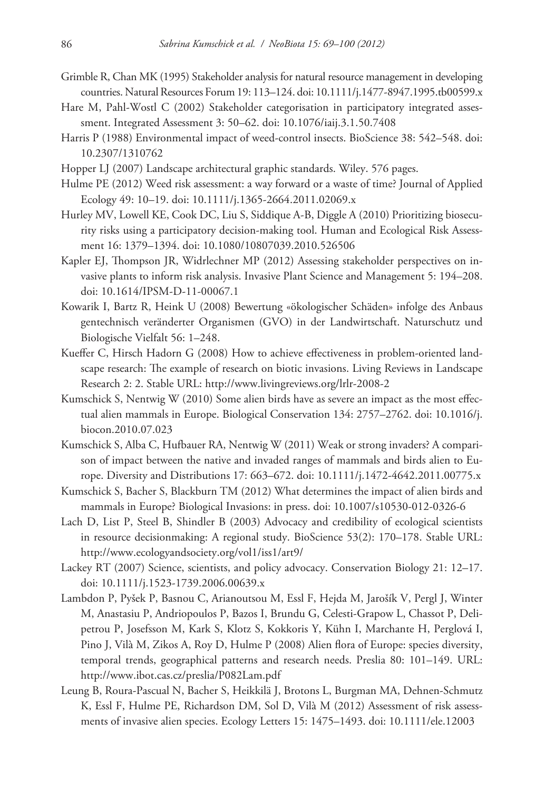- Grimble R, Chan MK (1995) Stakeholder analysis for natural resource management in developing countries. Natural Resources Forum 19: 113–124. doi: 10.1111/j.1477-8947.1995.tb00599.x
- Hare M, Pahl-Wostl C (2002) Stakeholder categorisation in participatory integrated assessment. Integrated Assessment 3: 50–62. doi: 10.1076/iaij.3.1.50.7408
- Harris P (1988) Environmental impact of weed-control insects. BioScience 38: 542–548. doi: 10.2307/1310762
- Hopper LJ (2007) Landscape architectural graphic standards. Wiley. 576 pages.
- Hulme PE (2012) Weed risk assessment: a way forward or a waste of time? Journal of Applied Ecology 49: 10–19. doi: 10.1111/j.1365-2664.2011.02069.x
- Hurley MV, Lowell KE, Cook DC, Liu S, Siddique A-B, Diggle A (2010) Prioritizing biosecurity risks using a participatory decision-making tool. Human and Ecological Risk Assessment 16: 1379–1394. doi: 10.1080/10807039.2010.526506
- Kapler EJ, Thompson JR, Widrlechner MP (2012) Assessing stakeholder perspectives on invasive plants to inform risk analysis. Invasive Plant Science and Management 5: 194–208. doi: 10.1614/IPSM-D-11-00067.1
- Kowarik I, Bartz R, Heink U (2008) Bewertung «ökologischer Schäden» infolge des Anbaus gentechnisch veränderter Organismen (GVO) in der Landwirtschaft. Naturschutz und Biologische Vielfalt 56: 1–248.
- Kueffer C, Hirsch Hadorn G (2008) How to achieve effectiveness in problem-oriented landscape research: The example of research on biotic invasions. Living Reviews in Landscape Research 2: 2. Stable URL: http://www.livingreviews.org/lrlr-2008-2
- Kumschick S, Nentwig W (2010) Some alien birds have as severe an impact as the most effectual alien mammals in Europe. Biological Conservation 134: 2757–2762. doi: 10.1016/j. biocon.2010.07.023
- Kumschick S, Alba C, Hufbauer RA, Nentwig W (2011) Weak or strong invaders? A comparison of impact between the native and invaded ranges of mammals and birds alien to Europe. Diversity and Distributions 17: 663–672. doi: 10.1111/j.1472-4642.2011.00775.x
- Kumschick S, Bacher S, Blackburn TM (2012) What determines the impact of alien birds and mammals in Europe? Biological Invasions: in press. doi: 10.1007/s10530-012-0326-6
- Lach D, List P, Steel B, Shindler B (2003) Advocacy and credibility of ecological scientists in resource decisionmaking: A regional study. BioScience 53(2): 170–178. Stable URL: http://www.ecologyandsociety.org/vol1/iss1/art9/
- Lackey RT (2007) Science, scientists, and policy advocacy. Conservation Biology 21: 12–17. doi: 10.1111/j.1523-1739.2006.00639.x
- Lambdon P, Pyšek P, Basnou C, Arianoutsou M, Essl F, Hejda M, Jarošík V, Pergl J, Winter M, Anastasiu P, Andriopoulos P, Bazos I, Brundu G, Celesti-Grapow L, Chassot P, Delipetrou P, Josefsson M, Kark S, Klotz S, Kokkoris Y, Kühn I, Marchante H, Perglová I, Pino J, Vilà M, Zikos A, Roy D, Hulme P (2008) Alien flora of Europe: species diversity, temporal trends, geographical patterns and research needs. Preslia 80: 101–149. URL: http://www.ibot.cas.cz/preslia/P082Lam.pdf
- Leung B, Roura-Pascual N, Bacher S, Heikkilä J, Brotons L, Burgman MA, Dehnen-Schmutz K, Essl F, Hulme PE, Richardson DM, Sol D, Vilà M (2012) Assessment of risk assessments of invasive alien species. Ecology Letters 15: 1475–1493. doi: 10.1111/ele.12003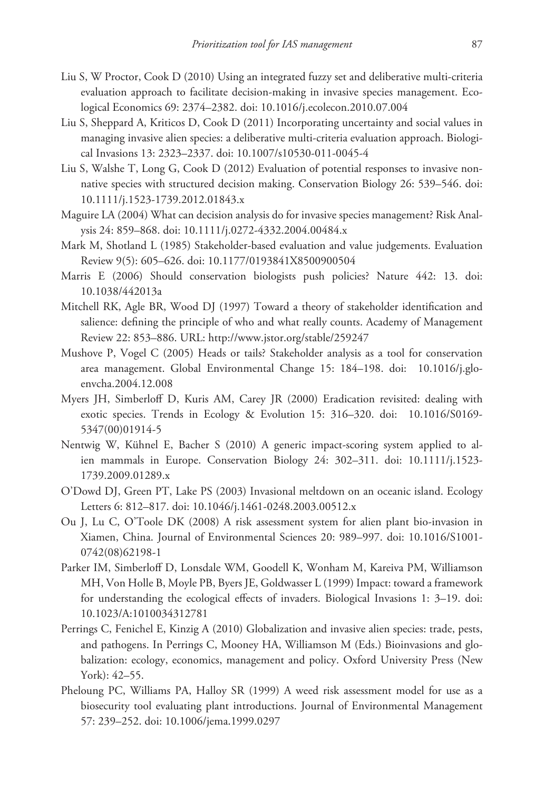- Liu S, W Proctor, Cook D (2010) Using an integrated fuzzy set and deliberative multi-criteria evaluation approach to facilitate decision-making in invasive species management. Ecological Economics 69: 2374–2382. doi: 10.1016/j.ecolecon.2010.07.004
- Liu S, Sheppard A, Kriticos D, Cook D (2011) Incorporating uncertainty and social values in managing invasive alien species: a deliberative multi-criteria evaluation approach. Biological Invasions 13: 2323–2337. doi: 10.1007/s10530-011-0045-4
- Liu S, Walshe T, Long G, Cook D (2012) Evaluation of potential responses to invasive nonnative species with structured decision making. Conservation Biology 26: 539–546. doi: 10.1111/j.1523-1739.2012.01843.x
- Maguire LA (2004) What can decision analysis do for invasive species management? Risk Analysis 24: 859–868. doi: 10.1111/j.0272-4332.2004.00484.x
- Mark M, Shotland L (1985) Stakeholder-based evaluation and value judgements. Evaluation Review 9(5): 605–626. doi: 10.1177/0193841X8500900504
- Marris E (2006) Should conservation biologists push policies? Nature 442: 13. doi: 10.1038/442013a
- Mitchell RK, Agle BR, Wood DJ (1997) Toward a theory of stakeholder identification and salience: defining the principle of who and what really counts. Academy of Management Review 22: 853–886. URL: http://www.jstor.org/stable/259247
- Mushove P, Vogel C (2005) Heads or tails? Stakeholder analysis as a tool for conservation area management. Global Environmental Change 15: 184–198. doi: 10.1016/j.gloenvcha.2004.12.008
- Myers JH, Simberloff D, Kuris AM, Carey JR (2000) Eradication revisited: dealing with exotic species. Trends in Ecology & Evolution 15: 316–320. doi: 10.1016/S0169- 5347(00)01914-5
- Nentwig W, Kühnel E, Bacher S (2010) A generic impact-scoring system applied to alien mammals in Europe. Conservation Biology 24: 302–311. doi: 10.1111/j.1523- 1739.2009.01289.x
- O'Dowd DJ, Green PT, Lake PS (2003) Invasional meltdown on an oceanic island. Ecology Letters 6: 812–817. doi: 10.1046/j.1461-0248.2003.00512.x
- Ou J, Lu C, O'Toole DK (2008) A risk assessment system for alien plant bio-invasion in Xiamen, China. Journal of Environmental Sciences 20: 989–997. doi: 10.1016/S1001- 0742(08)62198-1
- Parker IM, Simberloff D, Lonsdale WM, Goodell K, Wonham M, Kareiva PM, Williamson MH, Von Holle B, Moyle PB, Byers JE, Goldwasser L (1999) Impact: toward a framework for understanding the ecological effects of invaders. Biological Invasions 1: 3–19. doi: 10.1023/A:1010034312781
- Perrings C, Fenichel E, Kinzig A (2010) Globalization and invasive alien species: trade, pests, and pathogens. In Perrings C, Mooney HA, Williamson M (Eds.) Bioinvasions and globalization: ecology, economics, management and policy. Oxford University Press (New York): 42–55.
- Pheloung PC, Williams PA, Halloy SR (1999) A weed risk assessment model for use as a biosecurity tool evaluating plant introductions. Journal of Environmental Management 57: 239–252. doi: 10.1006/jema.1999.0297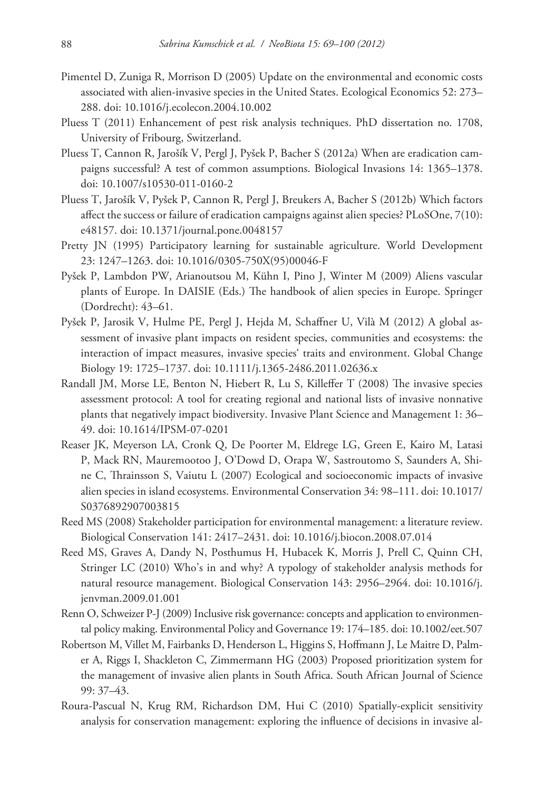- Pimentel D, Zuniga R, Morrison D (2005) Update on the environmental and economic costs associated with alien-invasive species in the United States. Ecological Economics 52: 273– 288. doi: 10.1016/j.ecolecon.2004.10.002
- Pluess T (2011) Enhancement of pest risk analysis techniques. PhD dissertation no. 1708, University of Fribourg, Switzerland.
- Pluess T, Cannon R, Jarošík V, Pergl J, Pyšek P, Bacher S (2012a) When are eradication campaigns successful? A test of common assumptions. Biological Invasions 14: 1365–1378. doi: 10.1007/s10530-011-0160-2
- Pluess T, Jarošík V, Pyšek P, Cannon R, Pergl J, Breukers A, Bacher S (2012b) Which factors affect the success or failure of eradication campaigns against alien species? PLoSOne, 7(10): e48157. doi: 10.1371/journal.pone.0048157
- Pretty JN (1995) Participatory learning for sustainable agriculture. World Development 23: 1247–1263. doi: 10.1016/0305-750X(95)00046-F
- Pyšek P, Lambdon PW, Arianoutsou M, Kühn I, Pino J, Winter M (2009) Aliens vascular plants of Europe. In DAISIE (Eds.) The handbook of alien species in Europe. Springer (Dordrecht): 43–61.
- Pyšek P, Jarosik V, Hulme PE, Pergl J, Hejda M, Schaffner U, Vilà M (2012) A global assessment of invasive plant impacts on resident species, communities and ecosystems: the interaction of impact measures, invasive species' traits and environment. Global Change Biology 19: 1725–1737. doi: 10.1111/j.1365-2486.2011.02636.x
- Randall JM, Morse LE, Benton N, Hiebert R, Lu S, Killeffer T (2008) The invasive species assessment protocol: A tool for creating regional and national lists of invasive nonnative plants that negatively impact biodiversity. Invasive Plant Science and Management 1: 36– 49. doi: 10.1614/IPSM-07-0201
- Reaser JK, Meyerson LA, Cronk Q, De Poorter M, Eldrege LG, Green E, Kairo M, Latasi P, Mack RN, Mauremootoo J, O'Dowd D, Orapa W, Sastroutomo S, Saunders A, Shine C, Thrainsson S, Vaiutu L (2007) Ecological and socioeconomic impacts of invasive alien species in island ecosystems. Environmental Conservation 34: 98–111. doi: 10.1017/ S0376892907003815
- Reed MS (2008) Stakeholder participation for environmental management: a literature review. Biological Conservation 141: 2417–2431. doi: 10.1016/j.biocon.2008.07.014
- Reed MS, Graves A, Dandy N, Posthumus H, Hubacek K, Morris J, Prell C, Quinn CH, Stringer LC (2010) Who's in and why? A typology of stakeholder analysis methods for natural resource management. Biological Conservation 143: 2956–2964. doi: 10.1016/j. jenvman.2009.01.001
- Renn O, Schweizer P-J (2009) Inclusive risk governance: concepts and application to environmental policy making. Environmental Policy and Governance 19: 174–185. doi: 10.1002/eet.507
- Robertson M, Villet M, Fairbanks D, Henderson L, Higgins S, Hoffmann J, Le Maitre D, Palmer A, Riggs I, Shackleton C, Zimmermann HG (2003) Proposed prioritization system for the management of invasive alien plants in South Africa. South African Journal of Science 99: 37–43.
- Roura-Pascual N, Krug RM, Richardson DM, Hui C (2010) Spatially-explicit sensitivity analysis for conservation management: exploring the influence of decisions in invasive al-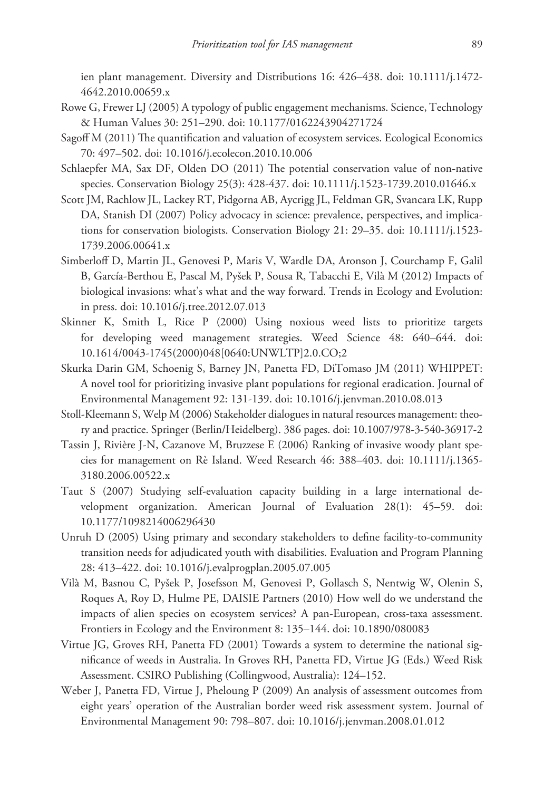ien plant management. Diversity and Distributions 16: 426–438. doi: 10.1111/j.1472- 4642.2010.00659.x

- Rowe G, Frewer LJ (2005) A typology of public engagement mechanisms. Science, Technology & Human Values 30: 251–290. doi: 10.1177/0162243904271724
- Sagoff M (2011) The quantification and valuation of ecosystem services. Ecological Economics 70: 497–502. doi: 10.1016/j.ecolecon.2010.10.006
- Schlaepfer MA, Sax DF, Olden DO (2011) The potential conservation value of non-native species. Conservation Biology 25(3): 428-437. doi: 10.1111/j.1523-1739.2010.01646.x
- Scott JM, Rachlow JL, Lackey RT, Pidgorna AB, Aycrigg JL, Feldman GR, Svancara LK, Rupp DA, Stanish DI (2007) Policy advocacy in science: prevalence, perspectives, and implications for conservation biologists. Conservation Biology 21: 29–35. doi: 10.1111/j.1523- 1739.2006.00641.x
- Simberloff D, Martin JL, Genovesi P, Maris V, Wardle DA, Aronson J, Courchamp F, Galil B, García-Berthou E, Pascal M, Pyšek P, Sousa R, Tabacchi E, Vilà M (2012) Impacts of biological invasions: what's what and the way forward. Trends in Ecology and Evolution: in press. doi: 10.1016/j.tree.2012.07.013
- Skinner K, Smith L, Rice P (2000) Using noxious weed lists to prioritize targets for developing weed management strategies. Weed Science 48: 640–644. doi: 10.1614/0043-1745(2000)048[0640:UNWLTP]2.0.CO;2
- Skurka Darin GM, Schoenig S, Barney JN, Panetta FD, DiTomaso JM (2011) WHIPPET: A novel tool for prioritizing invasive plant populations for regional eradication. Journal of Environmental Management 92: 131-139. doi: 10.1016/j.jenvman.2010.08.013
- Stoll-Kleemann S, Welp M (2006) Stakeholder dialogues in natural resources management: theory and practice. Springer (Berlin/Heidelberg). 386 pages. doi: 10.1007/978-3-540-36917-2
- Tassin J, Rivière J-N, Cazanove M, Bruzzese E (2006) Ranking of invasive woody plant species for management on Rè Island. Weed Research 46: 388–403. doi: 10.1111/j.1365- 3180.2006.00522.x
- Taut S (2007) Studying self-evaluation capacity building in a large international development organization. American Journal of Evaluation 28(1): 45–59. doi: 10.1177/1098214006296430
- Unruh D (2005) Using primary and secondary stakeholders to define facility-to-community transition needs for adjudicated youth with disabilities. Evaluation and Program Planning 28: 413–422. doi: 10.1016/j.evalprogplan.2005.07.005
- Vilà M, Basnou C, Pyšek P, Josefsson M, Genovesi P, Gollasch S, Nentwig W, Olenin S, Roques A, Roy D, Hulme PE, DAISIE Partners (2010) How well do we understand the impacts of alien species on ecosystem services? A pan-European, cross-taxa assessment. Frontiers in Ecology and the Environment 8: 135–144. doi: 10.1890/080083
- Virtue JG, Groves RH, Panetta FD (2001) Towards a system to determine the national significance of weeds in Australia. In Groves RH, Panetta FD, Virtue JG (Eds.) Weed Risk Assessment. CSIRO Publishing (Collingwood, Australia): 124–152.
- Weber J, Panetta FD, Virtue J, Pheloung P (2009) An analysis of assessment outcomes from eight years' operation of the Australian border weed risk assessment system. Journal of Environmental Management 90: 798–807. doi: 10.1016/j.jenvman.2008.01.012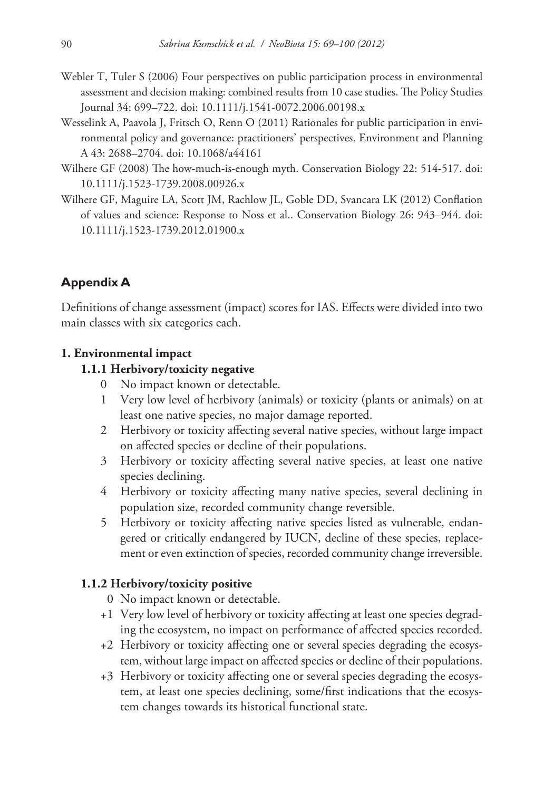- Webler T, Tuler S (2006) Four perspectives on public participation process in environmental assessment and decision making: combined results from 10 case studies. The Policy Studies Journal 34: 699–722. doi: 10.1111/j.1541-0072.2006.00198.x
- Wesselink A, Paavola J, Fritsch O, Renn O (2011) Rationales for public participation in environmental policy and governance: practitioners' perspectives. Environment and Planning A 43: 2688–2704. doi: 10.1068/a44161
- Wilhere GF (2008) The how-much-is-enough myth. Conservation Biology 22: 514-517. doi: 10.1111/j.1523-1739.2008.00926.x
- Wilhere GF, Maguire LA, Scott JM, Rachlow JL, Goble DD, Svancara LK (2012) Conflation of values and science: Response to Noss et al.. Conservation Biology 26: 943–944. doi: 10.1111/j.1523-1739.2012.01900.x

### **Appendix A**

Definitions of change assessment (impact) scores for IAS. Effects were divided into two main classes with six categories each.

#### **1. Environmental impact**

#### **1.1.1 Herbivory/toxicity negative**

- 0 No impact known or detectable.
- 1 Very low level of herbivory (animals) or toxicity (plants or animals) on at least one native species, no major damage reported.
- 2 Herbivory or toxicity affecting several native species, without large impact on affected species or decline of their populations.
- 3 Herbivory or toxicity affecting several native species, at least one native species declining.
- 4 Herbivory or toxicity affecting many native species, several declining in population size, recorded community change reversible.
- 5 Herbivory or toxicity affecting native species listed as vulnerable, endangered or critically endangered by IUCN, decline of these species, replacement or even extinction of species, recorded community change irreversible.

#### **1.1.2 Herbivory/toxicity positive**

- 0 No impact known or detectable.
- +1 Very low level of herbivory or toxicity affecting at least one species degrading the ecosystem, no impact on performance of affected species recorded.
- +2 Herbivory or toxicity affecting one or several species degrading the ecosystem, without large impact on affected species or decline of their populations.
- +3 Herbivory or toxicity affecting one or several species degrading the ecosystem, at least one species declining, some/first indications that the ecosystem changes towards its historical functional state.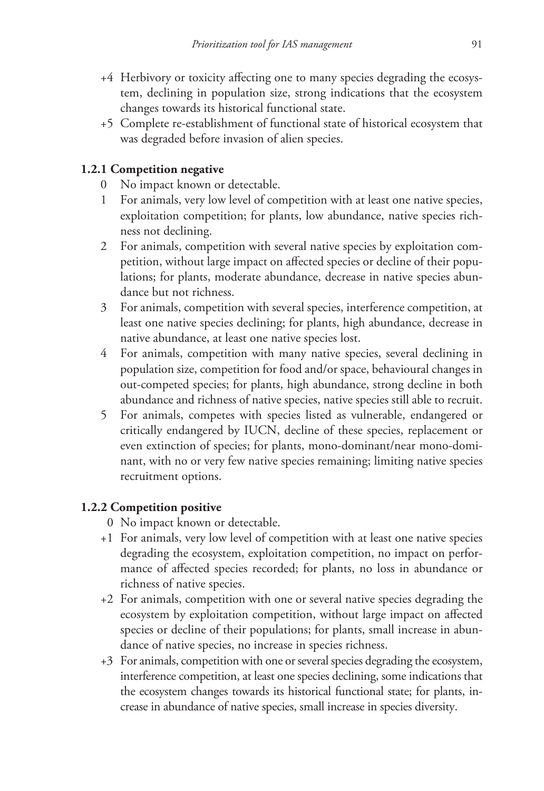- +4 Herbivory or toxicity affecting one to many species degrading the ecosystem, declining in population size, strong indications that the ecosystem changes towards its historical functional state.
- +5 Complete re-establishment of functional state of historical ecosystem that was degraded before invasion of alien species.

### **1.2.1 Competition negative**

- 0 No impact known or detectable.
- 1 For animals, very low level of competition with at least one native species, exploitation competition; for plants, low abundance, native species richness not declining.
- 2 For animals, competition with several native species by exploitation competition, without large impact on affected species or decline of their populations; for plants, moderate abundance, decrease in native species abundance but not richness.
- 3 For animals, competition with several species, interference competition, at least one native species declining; for plants, high abundance, decrease in native abundance, at least one native species lost.
- 4 For animals, competition with many native species, several declining in population size, competition for food and/or space, behavioural changes in out-competed species; for plants, high abundance, strong decline in both abundance and richness of native species, native species still able to recruit.
- 5 For animals, competes with species listed as vulnerable, endangered or critically endangered by IUCN, decline of these species, replacement or even extinction of species; for plants, mono-dominant/near mono-dominant, with no or very few native species remaining; limiting native species recruitment options.

# **1.2.2 Competition positive**

- 0 No impact known or detectable.
- +1 For animals, very low level of competition with at least one native species degrading the ecosystem, exploitation competition, no impact on performance of affected species recorded; for plants, no loss in abundance or richness of native species.
- +2 For animals, competition with one or several native species degrading the ecosystem by exploitation competition, without large impact on affected species or decline of their populations; for plants, small increase in abundance of native species, no increase in species richness.
- +3 For animals, competition with one or several species degrading the ecosystem, interference competition, at least one species declining, some indications that the ecosystem changes towards its historical functional state; for plants, increase in abundance of native species, small increase in species diversity.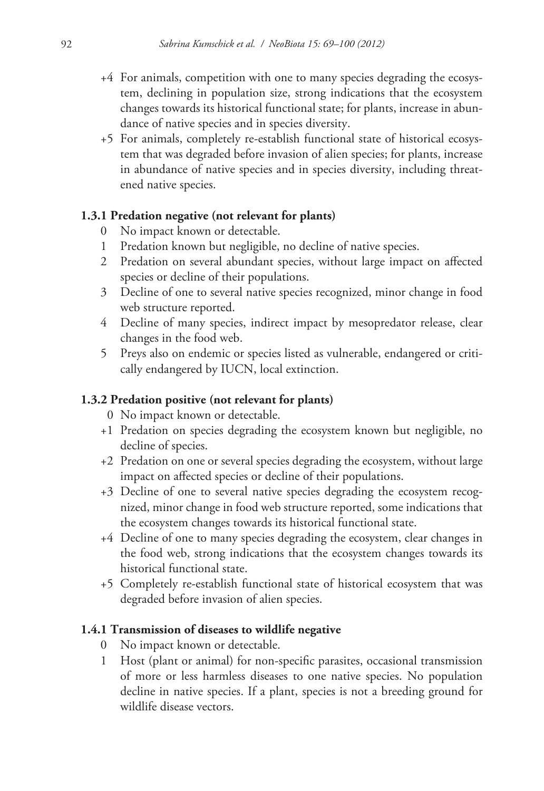- +4 For animals, competition with one to many species degrading the ecosystem, declining in population size, strong indications that the ecosystem changes towards its historical functional state; for plants, increase in abundance of native species and in species diversity.
- +5 For animals, completely re-establish functional state of historical ecosystem that was degraded before invasion of alien species; for plants, increase in abundance of native species and in species diversity, including threatened native species.

### **1.3.1 Predation negative (not relevant for plants)**

- 0 No impact known or detectable.
- 1 Predation known but negligible, no decline of native species.
- 2 Predation on several abundant species, without large impact on affected species or decline of their populations.
- 3 Decline of one to several native species recognized, minor change in food web structure reported.
- 4 Decline of many species, indirect impact by mesopredator release, clear changes in the food web.
- 5 Preys also on endemic or species listed as vulnerable, endangered or critically endangered by IUCN, local extinction.

### **1.3.2 Predation positive (not relevant for plants)**

- 0 No impact known or detectable.
- +1 Predation on species degrading the ecosystem known but negligible, no decline of species.
- +2 Predation on one or several species degrading the ecosystem, without large impact on affected species or decline of their populations.
- +3 Decline of one to several native species degrading the ecosystem recognized, minor change in food web structure reported, some indications that the ecosystem changes towards its historical functional state.
- +4 Decline of one to many species degrading the ecosystem, clear changes in the food web, strong indications that the ecosystem changes towards its historical functional state.
- +5 Completely re-establish functional state of historical ecosystem that was degraded before invasion of alien species.

### **1.4.1 Transmission of diseases to wildlife negative**

- No impact known or detectable.
- 1 Host (plant or animal) for non-specific parasites, occasional transmission of more or less harmless diseases to one native species. No population decline in native species. If a plant, species is not a breeding ground for wildlife disease vectors.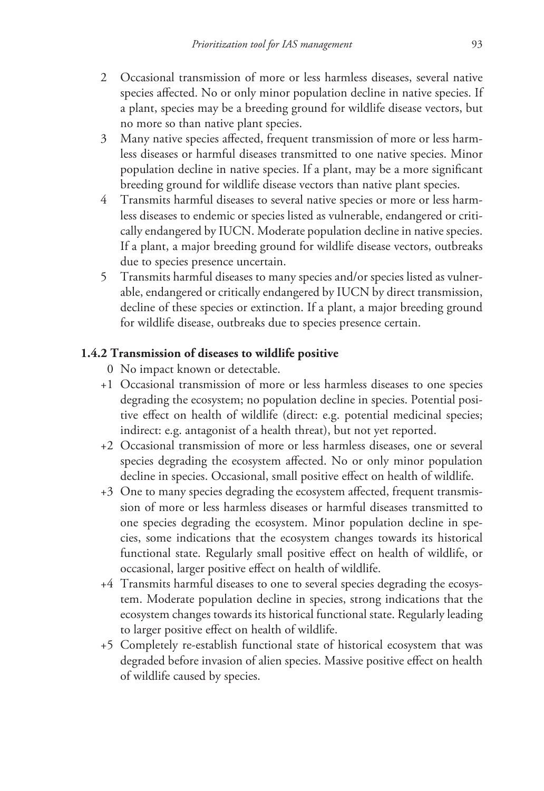- 2 Occasional transmission of more or less harmless diseases, several native species affected. No or only minor population decline in native species. If a plant, species may be a breeding ground for wildlife disease vectors, but no more so than native plant species.
- 3 Many native species affected, frequent transmission of more or less harmless diseases or harmful diseases transmitted to one native species. Minor population decline in native species. If a plant, may be a more significant breeding ground for wildlife disease vectors than native plant species.
- 4 Transmits harmful diseases to several native species or more or less harmless diseases to endemic or species listed as vulnerable, endangered or critically endangered by IUCN. Moderate population decline in native species. If a plant, a major breeding ground for wildlife disease vectors, outbreaks due to species presence uncertain.
- 5 Transmits harmful diseases to many species and/or species listed as vulnerable, endangered or critically endangered by IUCN by direct transmission, decline of these species or extinction. If a plant, a major breeding ground for wildlife disease, outbreaks due to species presence certain.

### **1.4.2 Transmission of diseases to wildlife positive**

- 0 No impact known or detectable.
- +1 Occasional transmission of more or less harmless diseases to one species degrading the ecosystem; no population decline in species. Potential positive effect on health of wildlife (direct: e.g. potential medicinal species; indirect: e.g. antagonist of a health threat), but not yet reported.
- +2 Occasional transmission of more or less harmless diseases, one or several species degrading the ecosystem affected. No or only minor population decline in species. Occasional, small positive effect on health of wildlife.
- +3 One to many species degrading the ecosystem affected, frequent transmission of more or less harmless diseases or harmful diseases transmitted to one species degrading the ecosystem. Minor population decline in species, some indications that the ecosystem changes towards its historical functional state. Regularly small positive effect on health of wildlife, or occasional, larger positive effect on health of wildlife.
- +4 Transmits harmful diseases to one to several species degrading the ecosystem. Moderate population decline in species, strong indications that the ecosystem changes towards its historical functional state. Regularly leading to larger positive effect on health of wildlife.
- +5 Completely re-establish functional state of historical ecosystem that was degraded before invasion of alien species. Massive positive effect on health of wildlife caused by species.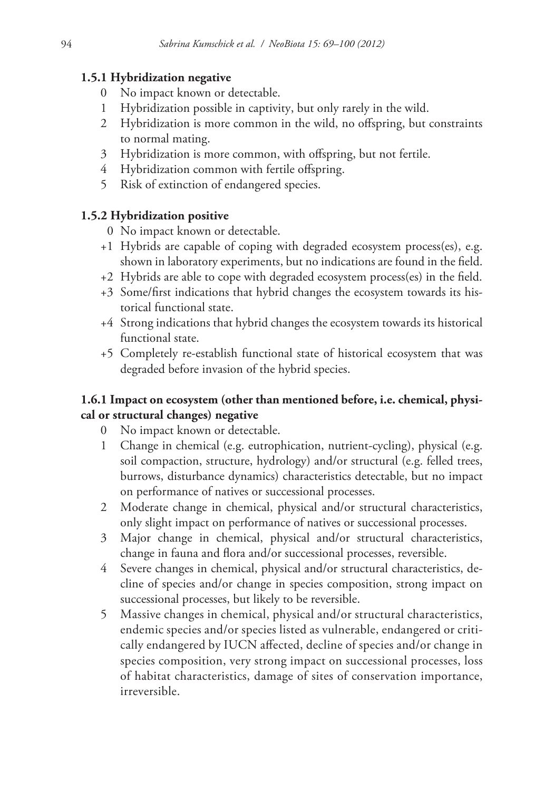### **1.5.1 Hybridization negative**

- 0 No impact known or detectable.
- 1 Hybridization possible in captivity, but only rarely in the wild.
- 2 Hybridization is more common in the wild, no offspring, but constraints to normal mating.
- 3 Hybridization is more common, with offspring, but not fertile.
- 4 Hybridization common with fertile offspring.
- 5 Risk of extinction of endangered species.

### **1.5.2 Hybridization positive**

- 0 No impact known or detectable.
- +1 Hybrids are capable of coping with degraded ecosystem process(es), e.g. shown in laboratory experiments, but no indications are found in the field.
- +2 Hybrids are able to cope with degraded ecosystem process(es) in the field.
- +3 Some/first indications that hybrid changes the ecosystem towards its historical functional state.
- +4 Strong indications that hybrid changes the ecosystem towards its historical functional state.
- +5 Completely re-establish functional state of historical ecosystem that was degraded before invasion of the hybrid species.

### **1.6.1 Impact on ecosystem (other than mentioned before, i.e. chemical, physical or structural changes) negative**

- 0 No impact known or detectable.
- 1 Change in chemical (e.g. eutrophication, nutrient-cycling), physical (e.g. soil compaction, structure, hydrology) and/or structural (e.g. felled trees, burrows, disturbance dynamics) characteristics detectable, but no impact on performance of natives or successional processes.
- 2 Moderate change in chemical, physical and/or structural characteristics, only slight impact on performance of natives or successional processes.
- 3 Major change in chemical, physical and/or structural characteristics, change in fauna and flora and/or successional processes, reversible.
- 4 Severe changes in chemical, physical and/or structural characteristics, decline of species and/or change in species composition, strong impact on successional processes, but likely to be reversible.
- 5 Massive changes in chemical, physical and/or structural characteristics, endemic species and/or species listed as vulnerable, endangered or critically endangered by IUCN affected, decline of species and/or change in species composition, very strong impact on successional processes, loss of habitat characteristics, damage of sites of conservation importance, irreversible.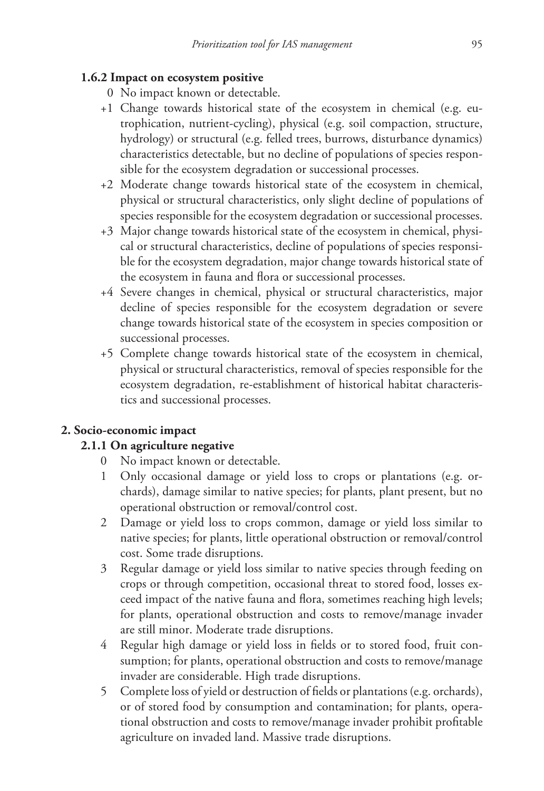### **1.6.2 Impact on ecosystem positive**

- 0 No impact known or detectable.
- +1 Change towards historical state of the ecosystem in chemical (e.g. eutrophication, nutrient-cycling), physical (e.g. soil compaction, structure, hydrology) or structural (e.g. felled trees, burrows, disturbance dynamics) characteristics detectable, but no decline of populations of species responsible for the ecosystem degradation or successional processes.
- +2 Moderate change towards historical state of the ecosystem in chemical, physical or structural characteristics, only slight decline of populations of species responsible for the ecosystem degradation or successional processes.
- +3 Major change towards historical state of the ecosystem in chemical, physical or structural characteristics, decline of populations of species responsible for the ecosystem degradation, major change towards historical state of the ecosystem in fauna and flora or successional processes.
- +4 Severe changes in chemical, physical or structural characteristics, major decline of species responsible for the ecosystem degradation or severe change towards historical state of the ecosystem in species composition or successional processes.
- +5 Complete change towards historical state of the ecosystem in chemical, physical or structural characteristics, removal of species responsible for the ecosystem degradation, re-establishment of historical habitat characteristics and successional processes.

### **2. Socio-economic impact**

### **2.1.1 On agriculture negative**

- 0 No impact known or detectable.
- 1 Only occasional damage or yield loss to crops or plantations (e.g. orchards), damage similar to native species; for plants, plant present, but no operational obstruction or removal/control cost.
- 2 Damage or yield loss to crops common, damage or yield loss similar to native species; for plants, little operational obstruction or removal/control cost. Some trade disruptions.
- 3 Regular damage or yield loss similar to native species through feeding on crops or through competition, occasional threat to stored food, losses exceed impact of the native fauna and flora, sometimes reaching high levels; for plants, operational obstruction and costs to remove/manage invader are still minor. Moderate trade disruptions.
- 4 Regular high damage or yield loss in fields or to stored food, fruit consumption; for plants, operational obstruction and costs to remove/manage invader are considerable. High trade disruptions.
- 5 Complete loss of yield or destruction of fields or plantations (e.g. orchards), or of stored food by consumption and contamination; for plants, operational obstruction and costs to remove/manage invader prohibit profitable agriculture on invaded land. Massive trade disruptions.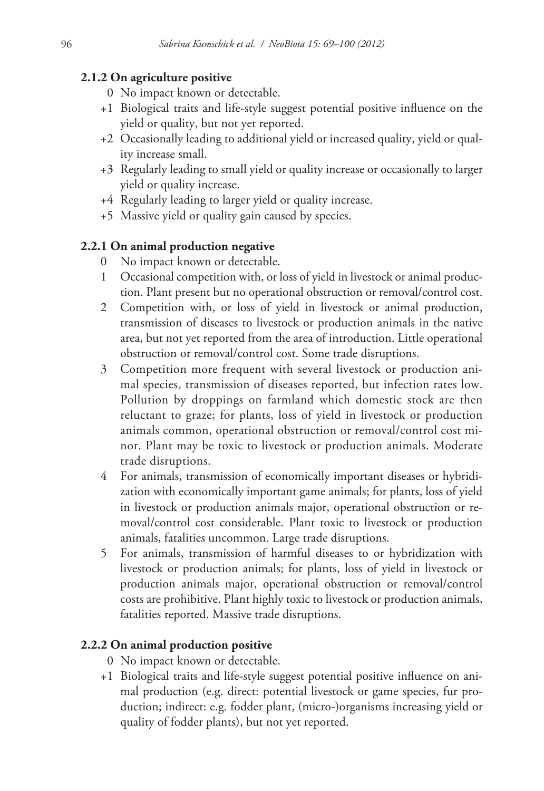### **2.1.2 On agriculture positive**

- 0 No impact known or detectable.
- +1 Biological traits and life-style suggest potential positive influence on the yield or quality, but not yet reported.
- +2 Occasionally leading to additional yield or increased quality, yield or quality increase small.
- +3 Regularly leading to small yield or quality increase or occasionally to larger yield or quality increase.
- +4 Regularly leading to larger yield or quality increase.
- +5 Massive yield or quality gain caused by species.

# **2.2.1 On animal production negative**

- 0 No impact known or detectable.
- 1 Occasional competition with, or loss of yield in livestock or animal production. Plant present but no operational obstruction or removal/control cost.
- 2 Competition with, or loss of yield in livestock or animal production, transmission of diseases to livestock or production animals in the native area, but not yet reported from the area of introduction. Little operational obstruction or removal/control cost. Some trade disruptions.
- 3 Competition more frequent with several livestock or production animal species, transmission of diseases reported, but infection rates low. Pollution by droppings on farmland which domestic stock are then reluctant to graze; for plants, loss of yield in livestock or production animals common, operational obstruction or removal/control cost minor. Plant may be toxic to livestock or production animals. Moderate trade disruptions.
- 4 For animals, transmission of economically important diseases or hybridization with economically important game animals; for plants, loss of yield in livestock or production animals major, operational obstruction or removal/control cost considerable. Plant toxic to livestock or production animals, fatalities uncommon. Large trade disruptions.
- 5 For animals, transmission of harmful diseases to or hybridization with livestock or production animals; for plants, loss of yield in livestock or production animals major, operational obstruction or removal/control costs are prohibitive. Plant highly toxic to livestock or production animals, fatalities reported. Massive trade disruptions.

# **2.2.2 On animal production positive**

- 0 No impact known or detectable.
- +1 Biological traits and life-style suggest potential positive influence on animal production (e.g. direct: potential livestock or game species, fur production; indirect: e.g. fodder plant, (micro-)organisms increasing yield or quality of fodder plants), but not yet reported.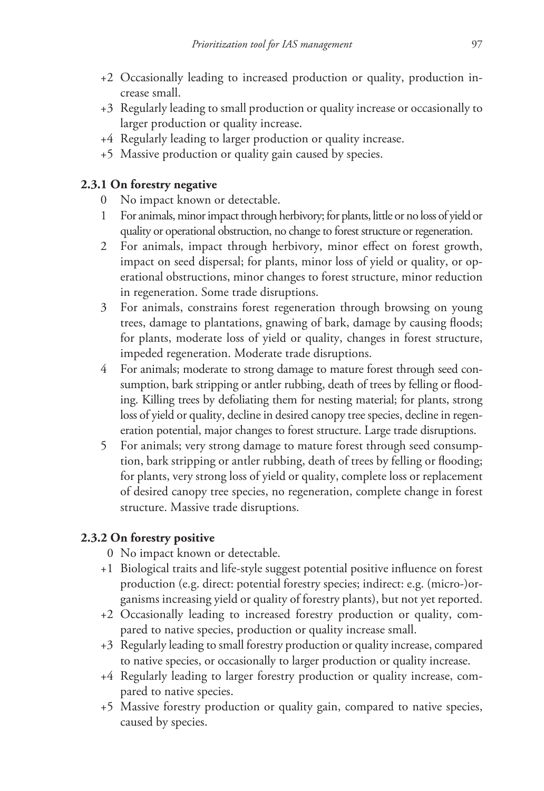- +2 Occasionally leading to increased production or quality, production increase small.
- +3 Regularly leading to small production or quality increase or occasionally to larger production or quality increase.
- +4 Regularly leading to larger production or quality increase.
- +5 Massive production or quality gain caused by species.

# **2.3.1 On forestry negative**

- 0 No impact known or detectable.
- 1 For animals, minor impact through herbivory; for plants, little or no loss of yield or quality or operational obstruction, no change to forest structure or regeneration.
- 2 For animals, impact through herbivory, minor effect on forest growth, impact on seed dispersal; for plants, minor loss of yield or quality, or operational obstructions, minor changes to forest structure, minor reduction in regeneration. Some trade disruptions.
- 3 For animals, constrains forest regeneration through browsing on young trees, damage to plantations, gnawing of bark, damage by causing floods; for plants, moderate loss of yield or quality, changes in forest structure, impeded regeneration. Moderate trade disruptions.
- 4 For animals; moderate to strong damage to mature forest through seed consumption, bark stripping or antler rubbing, death of trees by felling or flooding. Killing trees by defoliating them for nesting material; for plants, strong loss of yield or quality, decline in desired canopy tree species, decline in regeneration potential, major changes to forest structure. Large trade disruptions.
- 5 For animals; very strong damage to mature forest through seed consumption, bark stripping or antler rubbing, death of trees by felling or flooding; for plants, very strong loss of yield or quality, complete loss or replacement of desired canopy tree species, no regeneration, complete change in forest structure. Massive trade disruptions.

# **2.3.2 On forestry positive**

- 0 No impact known or detectable.
- +1 Biological traits and life-style suggest potential positive influence on forest production (e.g. direct: potential forestry species; indirect: e.g. (micro-)organisms increasing yield or quality of forestry plants), but not yet reported.
- +2 Occasionally leading to increased forestry production or quality, compared to native species, production or quality increase small.
- +3 Regularly leading to small forestry production or quality increase, compared to native species, or occasionally to larger production or quality increase.
- +4 Regularly leading to larger forestry production or quality increase, compared to native species.
- +5 Massive forestry production or quality gain, compared to native species, caused by species.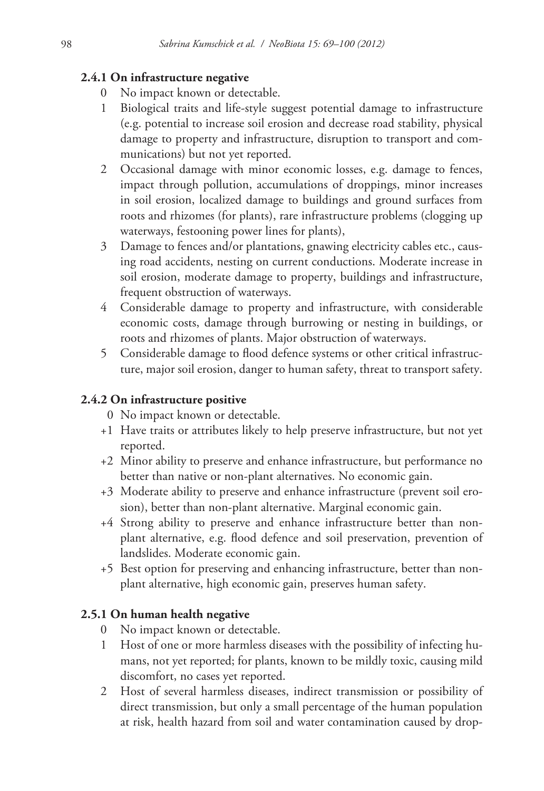### **2.4.1 On infrastructure negative**

- No impact known or detectable.
- 1 Biological traits and life-style suggest potential damage to infrastructure (e.g. potential to increase soil erosion and decrease road stability, physical damage to property and infrastructure, disruption to transport and communications) but not yet reported.
- 2 Occasional damage with minor economic losses, e.g. damage to fences, impact through pollution, accumulations of droppings, minor increases in soil erosion, localized damage to buildings and ground surfaces from roots and rhizomes (for plants), rare infrastructure problems (clogging up waterways, festooning power lines for plants),
- 3 Damage to fences and/or plantations, gnawing electricity cables etc., causing road accidents, nesting on current conductions. Moderate increase in soil erosion, moderate damage to property, buildings and infrastructure, frequent obstruction of waterways.
- 4 Considerable damage to property and infrastructure, with considerable economic costs, damage through burrowing or nesting in buildings, or roots and rhizomes of plants. Major obstruction of waterways.
- 5 Considerable damage to flood defence systems or other critical infrastructure, major soil erosion, danger to human safety, threat to transport safety.

### **2.4.2 On infrastructure positive**

- 0 No impact known or detectable.
- +1 Have traits or attributes likely to help preserve infrastructure, but not yet reported.
- +2 Minor ability to preserve and enhance infrastructure, but performance no better than native or non-plant alternatives. No economic gain.
- +3 Moderate ability to preserve and enhance infrastructure (prevent soil erosion), better than non-plant alternative. Marginal economic gain.
- +4 Strong ability to preserve and enhance infrastructure better than nonplant alternative, e.g. flood defence and soil preservation, prevention of landslides. Moderate economic gain.
- +5 Best option for preserving and enhancing infrastructure, better than nonplant alternative, high economic gain, preserves human safety.

### **2.5.1 On human health negative**

- 0 No impact known or detectable.
- 1 Host of one or more harmless diseases with the possibility of infecting humans, not yet reported; for plants, known to be mildly toxic, causing mild discomfort, no cases yet reported.
- 2 Host of several harmless diseases, indirect transmission or possibility of direct transmission, but only a small percentage of the human population at risk, health hazard from soil and water contamination caused by drop-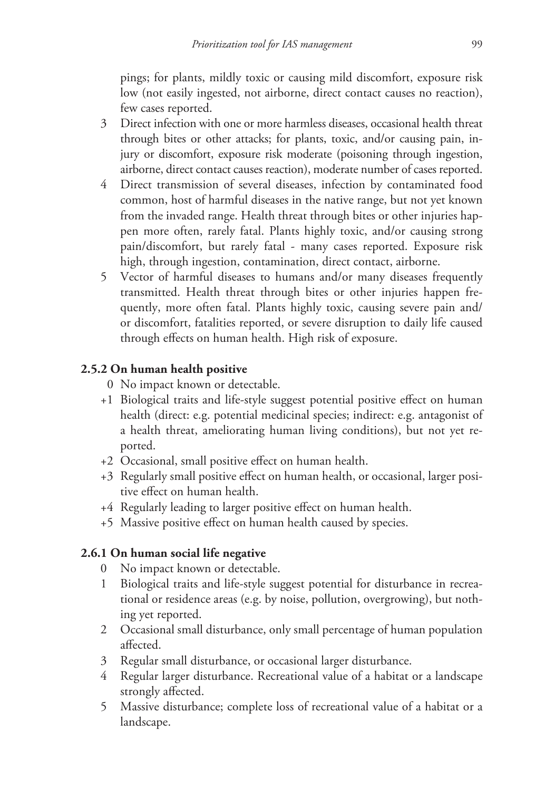pings; for plants, mildly toxic or causing mild discomfort, exposure risk low (not easily ingested, not airborne, direct contact causes no reaction), few cases reported.

- 3 Direct infection with one or more harmless diseases, occasional health threat through bites or other attacks; for plants, toxic, and/or causing pain, injury or discomfort, exposure risk moderate (poisoning through ingestion, airborne, direct contact causes reaction), moderate number of cases reported.
- 4 Direct transmission of several diseases, infection by contaminated food common, host of harmful diseases in the native range, but not yet known from the invaded range. Health threat through bites or other injuries happen more often, rarely fatal. Plants highly toxic, and/or causing strong pain/discomfort, but rarely fatal - many cases reported. Exposure risk high, through ingestion, contamination, direct contact, airborne.
- 5 Vector of harmful diseases to humans and/or many diseases frequently transmitted. Health threat through bites or other injuries happen frequently, more often fatal. Plants highly toxic, causing severe pain and/ or discomfort, fatalities reported, or severe disruption to daily life caused through effects on human health. High risk of exposure.

# **2.5.2 On human health positive**

- 0 No impact known or detectable.
- +1 Biological traits and life-style suggest potential positive effect on human health (direct: e.g. potential medicinal species; indirect: e.g. antagonist of a health threat, ameliorating human living conditions), but not yet reported.
- +2 Occasional, small positive effect on human health.
- +3 Regularly small positive effect on human health, or occasional, larger positive effect on human health.
- +4 Regularly leading to larger positive effect on human health.
- +5 Massive positive effect on human health caused by species.

# **2.6.1 On human social life negative**

- 0 No impact known or detectable.
- 1 Biological traits and life-style suggest potential for disturbance in recreational or residence areas (e.g. by noise, pollution, overgrowing), but nothing yet reported.
- 2 Occasional small disturbance, only small percentage of human population affected.
- 3 Regular small disturbance, or occasional larger disturbance.
- 4 Regular larger disturbance. Recreational value of a habitat or a landscape strongly affected.
- 5 Massive disturbance; complete loss of recreational value of a habitat or a landscape.